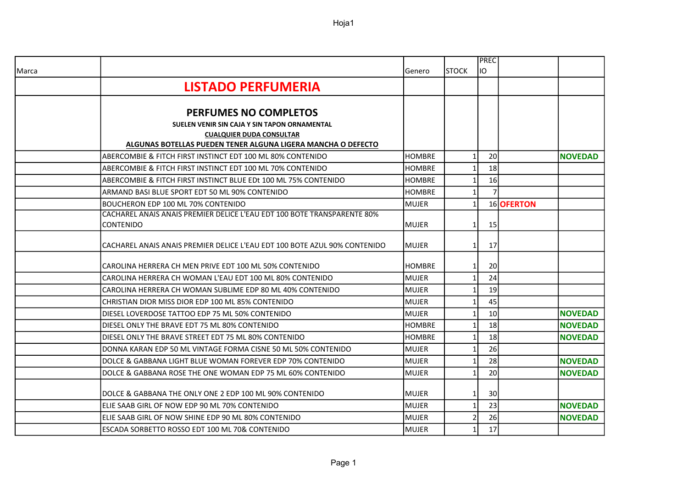Hoja1

|       |                                                                                                 |               |               | <b>PREC</b>     |            |                |
|-------|-------------------------------------------------------------------------------------------------|---------------|---------------|-----------------|------------|----------------|
| Marca |                                                                                                 | Genero        | <b>ISTOCK</b> | lio             |            |                |
|       | <b>LISTADO PERFUMERIA</b>                                                                       |               |               |                 |            |                |
|       |                                                                                                 |               |               |                 |            |                |
|       | <b>PERFUMES NO COMPLETOS</b>                                                                    |               |               |                 |            |                |
|       | SUELEN VENIR SIN CAJA Y SIN TAPON ORNAMENTAL                                                    |               |               |                 |            |                |
|       | <b>CUALQUIER DUDA CONSULTAR</b><br>ALGUNAS BOTELLAS PUEDEN TENER ALGUNA LIGERA MANCHA O DEFECTO |               |               |                 |            |                |
|       | ABERCOMBIE & FITCH FIRST INSTINCT EDT 100 ML 80% CONTENIDO                                      | <b>HOMBRE</b> |               | 20              |            | <b>NOVEDAD</b> |
|       | ABERCOMBIE & FITCH FIRST INSTINCT EDT 100 ML 70% CONTENIDO                                      | <b>HOMBRE</b> |               | 18              |            |                |
|       | ABERCOMBIE & FITCH FIRST INSTINCT BLUE EDt 100 ML 75% CONTENIDO                                 | <b>HOMBRE</b> |               | 16              |            |                |
|       | ARMAND BASI BLUE SPORT EDT 50 ML 90% CONTENIDO                                                  | <b>HOMBRE</b> |               | $\overline{7}$  |            |                |
|       | BOUCHERON EDP 100 ML 70% CONTENIDO                                                              | <b>MUJER</b>  |               |                 | 16 OFERTON |                |
|       | CACHAREL ANAIS ANAIS PREMIER DELICE L'EAU EDT 100 BOTE TRANSPARENTE 80%                         |               |               |                 |            |                |
|       | <b>CONTENIDO</b>                                                                                | <b>MUJER</b>  | 1             | 15              |            |                |
|       | CACHAREL ANAIS ANAIS PREMIER DELICE L'EAU EDT 100 BOTE AZUL 90% CONTENIDO                       | <b>MUJER</b>  | 1             | 17              |            |                |
|       |                                                                                                 |               |               |                 |            |                |
|       | CAROLINA HERRERA CH MEN PRIVE EDT 100 ML 50% CONTENIDO                                          | <b>HOMBRE</b> | 1             | 20              |            |                |
|       | CAROLINA HERRERA CH WOMAN L'EAU EDT 100 ML 80% CONTENIDO                                        | <b>MUJER</b>  | 1             | 24              |            |                |
|       | CAROLINA HERRERA CH WOMAN SUBLIME EDP 80 ML 40% CONTENIDO                                       | <b>MUJER</b>  |               | 19              |            |                |
|       | CHRISTIAN DIOR MISS DIOR EDP 100 ML 85% CONTENIDO                                               | <b>MUJER</b>  | $\mathbf{1}$  | 45              |            |                |
|       | DIESEL LOVERDOSE TATTOO EDP 75 ML 50% CONTENIDO                                                 | <b>MUJER</b>  | -1            | 10 <sup>1</sup> |            | <b>NOVEDAD</b> |
|       | DIESEL ONLY THE BRAVE EDT 75 ML 80% CONTENIDO                                                   | <b>HOMBRE</b> |               | 18              |            | <b>NOVEDAD</b> |
|       | DIESEL ONLY THE BRAVE STREET EDT 75 ML 80% CONTENIDO                                            | <b>HOMBRE</b> | $\mathbf{1}$  | 18              |            | <b>NOVEDAD</b> |
|       | DONNA KARAN EDP 50 ML VINTAGE FORMA CISNE 50 ML 50% CONTENIDO                                   | <b>MUJER</b>  | -1            | 26              |            |                |
|       | DOLCE & GABBANA LIGHT BLUE WOMAN FOREVER EDP 70% CONTENIDO                                      | <b>MUJER</b>  |               | 28              |            | <b>NOVEDAD</b> |
|       | DOLCE & GABBANA ROSE THE ONE WOMAN EDP 75 ML 60% CONTENIDO                                      | <b>MUJER</b>  | 1             | 20              |            | <b>NOVEDAD</b> |
|       | DOLCE & GABBANA THE ONLY ONE 2 EDP 100 ML 90% CONTENIDO                                         | <b>MUJER</b>  | $\mathbf{1}$  | 30              |            |                |
|       | ELIE SAAB GIRL OF NOW EDP 90 ML 70% CONTENIDO                                                   | <b>MUJER</b>  | $\mathbf{1}$  | 23              |            | <b>NOVEDAD</b> |
|       | ELIE SAAB GIRL OF NOW SHINE EDP 90 ML 80% CONTENIDO                                             | <b>MUJER</b>  |               | 26              |            | <b>NOVEDAD</b> |
|       | ESCADA SORBETTO ROSSO EDT 100 ML 70& CONTENIDO                                                  | <b>MUJER</b>  |               | 17              |            |                |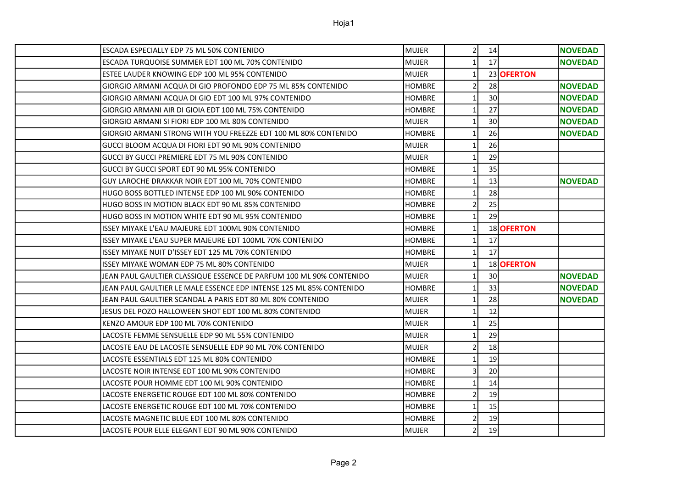| ESCADA ESPECIALLY EDP 75 ML 50% CONTENIDO                           | <b>MUJER</b>  | $\overline{2}$           | 14 |            | <b>NOVEDAD</b> |
|---------------------------------------------------------------------|---------------|--------------------------|----|------------|----------------|
| ESCADA TURQUOISE SUMMER EDT 100 ML 70% CONTENIDO                    | <b>MUJER</b>  | 1                        | 17 |            | <b>NOVEDAD</b> |
| ESTEE LAUDER KNOWING EDP 100 ML 95% CONTENIDO                       | <b>MUJER</b>  | $\mathbf{1}$             |    | 23 OFERTON |                |
| GIORGIO ARMANI ACQUA DI GIO PROFONDO EDP 75 ML 85% CONTENIDO        | <b>HOMBRE</b> | $\overline{2}$           | 28 |            | <b>NOVEDAD</b> |
| GIORGIO ARMANI ACQUA DI GIO EDT 100 ML 97% CONTENIDO                | <b>HOMBRE</b> | 1                        | 30 |            | <b>NOVEDAD</b> |
| GIORGIO ARMANI AIR DI GIOIA EDT 100 ML 75% CONTENIDO                | <b>HOMBRE</b> | 1                        | 27 |            | <b>NOVEDAD</b> |
| GIORGIO ARMANI SI FIORI EDP 100 ML 80% CONTENIDO                    | MUJER         | 1                        | 30 |            | <b>NOVEDAD</b> |
| GIORGIO ARMANI STRONG WITH YOU FREEZZE EDT 100 ML 80% CONTENIDO     | <b>HOMBRE</b> | 1                        | 26 |            | <b>NOVEDAD</b> |
| GUCCI BLOOM ACQUA DI FIORI EDT 90 ML 90% CONTENIDO                  | <b>MUJER</b>  |                          | 26 |            |                |
| GUCCI BY GUCCI PREMIERE EDT 75 ML 90% CONTENIDO                     | <b>MUJER</b>  | 1                        | 29 |            |                |
| GUCCI BY GUCCI SPORT EDT 90 ML 95% CONTENIDO                        | <b>HOMBRE</b> | 1                        | 35 |            |                |
| GUY LAROCHE DRAKKAR NOIR EDT 100 ML 70% CONTENIDO                   | <b>HOMBRE</b> | $\mathbf{1}$             | 13 |            | <b>NOVEDAD</b> |
| HUGO BOSS BOTTLED INTENSE EDP 100 ML 90% CONTENIDO                  | <b>HOMBRE</b> | 1                        | 28 |            |                |
| HUGO BOSS IN MOTION BLACK EDT 90 ML 85% CONTENIDO                   | <b>HOMBRE</b> | 2                        | 25 |            |                |
| HUGO BOSS IN MOTION WHITE EDT 90 ML 95% CONTENIDO                   | <b>HOMBRE</b> | $\mathbf{1}$             | 29 |            |                |
| ISSEY MIYAKE L'EAU MAJEURE EDT 100ML 90% CONTENIDO                  | <b>HOMBRE</b> |                          |    | 18 OFERTON |                |
| ISSEY MIYAKE L'EAU SUPER MAJEURE EDT 100ML 70% CONTENIDO            | <b>HOMBRE</b> | 1                        | 17 |            |                |
| ISSEY MIYAKE NUIT D'ISSEY EDT 125 ML 70% CONTENIDO                  | <b>HOMBRE</b> | $\mathbf{1}$             | 17 |            |                |
| ISSEY MIYAKE WOMAN EDP 75 ML 80% CONTENIDO                          | MUJER         | $\mathbf{1}$             |    | 18 OFERTON |                |
| JEAN PAUL GAULTIER CLASSIQUE ESSENCE DE PARFUM 100 ML 90% CONTENIDO | <b>MUJER</b>  | $\mathbf{1}$             | 30 |            | <b>NOVEDAD</b> |
| JEAN PAUL GAULTIER LE MALE ESSENCE EDP INTENSE 125 ML 85% CONTENIDO | <b>HOMBRE</b> | $\mathbf{1}$             | 33 |            | <b>NOVEDAD</b> |
| JEAN PAUL GAULTIER SCANDAL A PARIS EDT 80 ML 80% CONTENIDO          | <b>MUJER</b>  | 1                        | 28 |            | <b>NOVEDAD</b> |
| JESUS DEL POZO HALLOWEEN SHOT EDT 100 ML 80% CONTENIDO              | <b>MUJER</b>  | $\mathbf{1}$             | 12 |            |                |
| KENZO AMOUR EDP 100 ML 70% CONTENIDO                                | <b>MUJER</b>  | 1                        | 25 |            |                |
| LACOSTE FEMME SENSUELLE EDP 90 ML 55% CONTENIDO                     | <b>MUJER</b>  | 1                        | 29 |            |                |
| LACOSTE EAU DE LACOSTE SENSUELLE EDP 90 ML 70% CONTENIDO            | <b>MUJER</b>  | $\overline{\phantom{a}}$ | 18 |            |                |
| LACOSTE ESSENTIALS EDT 125 ML 80% CONTENIDO                         | <b>HOMBRE</b> | $\mathbf{1}$             | 19 |            |                |
| LACOSTE NOIR INTENSE EDT 100 ML 90% CONTENIDO                       | <b>HOMBRE</b> | 3                        | 20 |            |                |
| LACOSTE POUR HOMME EDT 100 ML 90% CONTENIDO                         | <b>HOMBRE</b> |                          | 14 |            |                |
| LACOSTE ENERGETIC ROUGE EDT 100 ML 80% CONTENIDO                    | <b>HOMBRE</b> | $\overline{2}$           | 19 |            |                |
| LACOSTE ENERGETIC ROUGE EDT 100 ML 70% CONTENIDO                    | <b>HOMBRE</b> | $\mathbf{1}$             | 15 |            |                |
| LACOSTE MAGNETIC BLUE EDT 100 ML 80% CONTENIDO                      | <b>HOMBRE</b> | 2                        | 19 |            |                |
| LACOSTE POUR ELLE ELEGANT EDT 90 ML 90% CONTENIDO                   | <b>MUJER</b>  | $\mathcal{P}$            | 19 |            |                |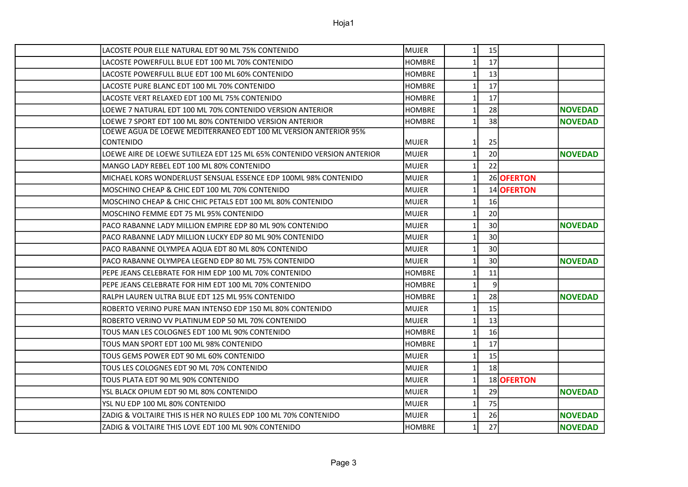| LACOSTE POUR ELLE NATURAL EDT 90 ML 75% CONTENIDO                      | <b>MUJER</b>  | 11              | 15              |            |                |
|------------------------------------------------------------------------|---------------|-----------------|-----------------|------------|----------------|
| LACOSTE POWERFULL BLUE EDT 100 ML 70% CONTENIDO                        | <b>HOMBRE</b> | $1\mathsf{I}$   | 17              |            |                |
| LACOSTE POWERFULL BLUE EDT 100 ML 60% CONTENIDO                        | <b>HOMBRE</b> | $\mathbf{1}$    | 13              |            |                |
| LACOSTE PURE BLANC EDT 100 ML 70% CONTENIDO                            | <b>HOMBRE</b> | $1\vert$        | 17              |            |                |
| LACOSTE VERT RELAXED EDT 100 ML 75% CONTENIDO                          | <b>HOMBRE</b> | $\mathbf{1}$    | 17              |            |                |
| LOEWE 7 NATURAL EDT 100 ML 70% CONTENIDO VERSION ANTERIOR              | <b>HOMBRE</b> | $1\overline{ }$ | 28              |            | <b>NOVEDAD</b> |
| LOEWE 7 SPORT EDT 100 ML 80% CONTENIDO VERSION ANTERIOR                | <b>HOMBRE</b> | $1\mathsf{l}$   | 38              |            | <b>NOVEDAD</b> |
| LOEWE AGUA DE LOEWE MEDITERRANEO EDT 100 ML VERSION ANTERIOR 95%       |               |                 |                 |            |                |
| <b>CONTENIDO</b>                                                       | MUJER         | $1\vert$        | 25              |            |                |
| LOEWE AIRE DE LOEWE SUTILEZA EDT 125 ML 65% CONTENIDO VERSION ANTERIOR | <b>MUJER</b>  | $\mathbf{1}$    | 20              |            | <b>NOVEDAD</b> |
| MANGO LADY REBEL EDT 100 ML 80% CONTENIDO                              | <b>MUJER</b>  | $1\overline{ }$ | 22              |            |                |
| MICHAEL KORS WONDERLUST SENSUAL ESSENCE EDP 100ML 98% CONTENIDO        | <b>MUJER</b>  | $\mathbf{1}$    |                 | 26 OFERTON |                |
| MOSCHINO CHEAP & CHIC EDT 100 ML 70% CONTENIDO                         | MUJER         | $1\vert$        |                 | 14 OFERTON |                |
| MOSCHINO CHEAP & CHIC CHIC PETALS EDT 100 ML 80% CONTENIDO             | <b>MUJER</b>  | $1\vert$        | 16              |            |                |
| MOSCHINO FEMME EDT 75 ML 95% CONTENIDO                                 | <b>MUJER</b>  | 1               | 20              |            |                |
| PACO RABANNE LADY MILLION EMPIRE EDP 80 ML 90% CONTENIDO               | <b>MUJER</b>  | $1\overline{ }$ | 30 <sup>°</sup> |            | <b>NOVEDAD</b> |
| PACO RABANNE LADY MILLION LUCKY EDP 80 ML 90% CONTENIDO                | <b>MUJER</b>  | $1\vert$        | 30 <sup>°</sup> |            |                |
| PACO RABANNE OLYMPEA AQUA EDT 80 ML 80% CONTENIDO                      | <b>MUJER</b>  | $1\vert$        | 30 <sup>°</sup> |            |                |
| PACO RABANNE OLYMPEA LEGEND EDP 80 ML 75% CONTENIDO                    | <b>MUJER</b>  | $\mathbf{1}$    | 30 <sup>°</sup> |            | <b>NOVEDAD</b> |
| PEPE JEANS CELEBRATE FOR HIM EDP 100 ML 70% CONTENIDO                  | <b>HOMBRE</b> | $1\mathsf{l}$   | 11              |            |                |
| PEPE JEANS CELEBRATE FOR HIM EDT 100 ML 70% CONTENIDO                  | <b>HOMBRE</b> | $\mathbf{1}$    | $\overline{9}$  |            |                |
| RALPH LAUREN ULTRA BLUE EDT 125 ML 95% CONTENIDO                       | <b>HOMBRE</b> | $1\overline{ }$ | 28              |            | <b>NOVEDAD</b> |
| ROBERTO VERINO PURE MAN INTENSO EDP 150 ML 80% CONTENIDO               | <b>MUJER</b>  | $1\overline{ }$ | 15              |            |                |
| ROBERTO VERINO VV PLATINUM EDP 50 ML 70% CONTENIDO                     | <b>MUJER</b>  | $\mathbf{1}$    | 13              |            |                |
| TOUS MAN LES COLOGNES EDT 100 ML 90% CONTENIDO                         | <b>HOMBRE</b> | $\mathbf{1}$    | 16              |            |                |
| TOUS MAN SPORT EDT 100 ML 98% CONTENIDO                                | <b>HOMBRE</b> | $\mathbf{1}$    | 17              |            |                |
| TOUS GEMS POWER EDT 90 ML 60% CONTENIDO                                | <b>MUJER</b>  | 11              | 15              |            |                |
| TOUS LES COLOGNES EDT 90 ML 70% CONTENIDO                              | <b>MUJER</b>  | $1\vert$        | 18              |            |                |
| TOUS PLATA EDT 90 ML 90% CONTENIDO                                     | <b>MUJER</b>  | 1               |                 | 18 OFERTON |                |
| YSL BLACK OPIUM EDT 90 ML 80% CONTENIDO                                | <b>MUJER</b>  | $\mathbf{1}$    | 29              |            | <b>NOVEDAD</b> |
| YSL NU EDP 100 ML 80% CONTENIDO                                        | <b>MUJER</b>  | $\mathbf{1}$    | 75              |            |                |
| ZADIG & VOLTAIRE THIS IS HER NO RULES EDP 100 ML 70% CONTENIDO         | <b>MUJER</b>  | $1\vert$        | 26              |            | <b>NOVEDAD</b> |
| ZADIG & VOLTAIRE THIS LOVE EDT 100 ML 90% CONTENIDO                    | <b>HOMBRE</b> | $\mathbf{1}$    | 27              |            | <b>NOVEDAD</b> |
|                                                                        |               |                 |                 |            |                |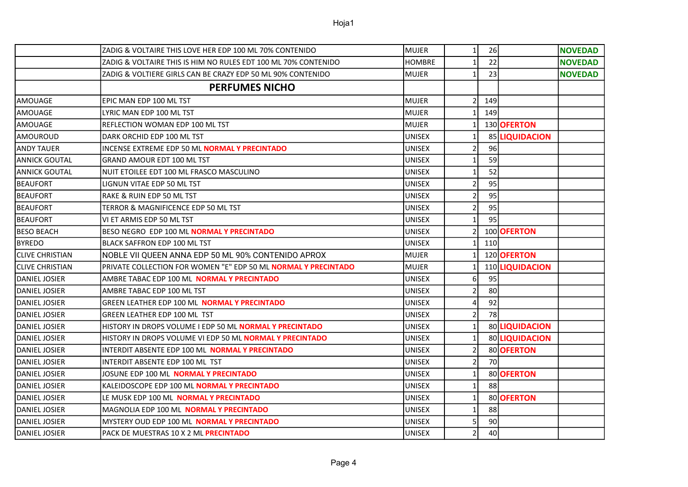|                        | IZADIG & VOLTAIRE THIS LOVE HER EDP 100 ML 70% CONTENIDO        | MUJER         | 1 <sup>1</sup>  | 26  |                 | <b>NOVEDAD</b> |
|------------------------|-----------------------------------------------------------------|---------------|-----------------|-----|-----------------|----------------|
|                        | ZADIG & VOLTAIRE THIS IS HIM NO RULES EDT 100 ML 70% CONTENIDO  | <b>HOMBRE</b> | $\mathbf{1}$    | 22  |                 | <b>NOVEDAD</b> |
|                        | ZADIG & VOLTIERE GIRLS CAN BE CRAZY EDP 50 ML 90% CONTENIDO     | <b>MUJER</b>  | 1               | 23  |                 | <b>NOVEDAD</b> |
|                        | <b>PERFUMES NICHO</b>                                           |               |                 |     |                 |                |
| <b>AMOUAGE</b>         | EPIC MAN EDP 100 ML TST                                         | <b>MUJER</b>  | $\overline{2}$  | 149 |                 |                |
| lAMOUAGE               | LYRIC MAN EDP 100 ML TST                                        | <b>MUJER</b>  | 11              | 149 |                 |                |
| lAMOUAGE               | REFLECTION WOMAN EDP 100 ML TST                                 | <b>MUJER</b>  | $1\vert$        |     | 130 OFERTON     |                |
| AMOUROUD               | DARK ORCHID EDP 100 ML TST                                      | <b>UNISEX</b> | $1\vert$        |     | 85 LIQUIDACION  |                |
| <b>ANDY TAUER</b>      | INCENSE EXTREME EDP 50 ML <b>NORMAL Y PRECINTADO</b>            | <b>UNISEX</b> | $\overline{2}$  | 96  |                 |                |
| IANNICK GOUTAL         | <b>GRAND AMOUR EDT 100 ML TST</b>                               | <b>UNISEX</b> | 11              | 59  |                 |                |
| ANNICK GOUTAL          | NUIT ETOILEE EDT 100 ML FRASCO MASCULINO                        | <b>UNISEX</b> | $\mathbf{1}$    | 52  |                 |                |
| <b>BEAUFORT</b>        | LIGNUN VITAE EDP 50 ML TST                                      | <b>UNISEX</b> | 21              | 95  |                 |                |
| <b>BEAUFORT</b>        | RAKE & RUIN EDP 50 ML TST                                       | <b>UNISEX</b> | $\overline{2}$  | 95  |                 |                |
| <b>BEAUFORT</b>        | TERROR & MAGNIFICENCE EDP 50 ML TST                             | <b>UNISEX</b> | $\overline{2}$  | 95  |                 |                |
| <b>BEAUFORT</b>        | VI ET ARMIS EDP 50 ML TST                                       | <b>UNISEX</b> | $1\vert$        | 95  |                 |                |
| IBESO BEACH            | BESO NEGRO EDP 100 ML NORMAL Y PRECINTADO                       | <b>UNISEX</b> | $\overline{2}$  |     | 100 OFERTON     |                |
| <b>BYREDO</b>          | BLACK SAFFRON EDP 100 ML TST                                    | <b>UNISEX</b> | $1\overline{ }$ | 110 |                 |                |
| <b>CLIVE CHRISTIAN</b> | NOBLE VII QUEEN ANNA EDP 50 ML 90% CONTENIDO APROX              | <b>MUJER</b>  | $1\mathsf{I}$   |     | 120 OFERTON     |                |
| ICLIVE CHRISTIAN       | PRIVATE COLLECTION FOR WOMEN "E" EDP 50 ML NORMAL Y PRECINTADO  | <b>MUJER</b>  | $1\overline{ }$ |     | 110 LIQUIDACION |                |
| IDANIEL JOSIER         | AMBRE TABAC EDP 100 ML <b>NORMAL Y PRECINTADO</b>               | <b>UNISEX</b> | 61              | 95  |                 |                |
| IDANIEL JOSIER         | AMBRE TABAC EDP 100 ML TST                                      | <b>UNISEX</b> | $\overline{2}$  | 80  |                 |                |
| IDANIEL JOSIER         | GREEN LEATHER EDP 100 ML NORMAL Y PRECINTADO                    | <b>UNISEX</b> | $\overline{4}$  | 92  |                 |                |
| DANIEL JOSIER          | <b>GREEN LEATHER EDP 100 ML TST</b>                             | <b>UNISEX</b> | $\overline{2}$  | 78  |                 |                |
| DANIEL JOSIER          | HISTORY IN DROPS VOLUME I EDP 50 ML NORMAL Y PRECINTADO         | <b>UNISEX</b> | 1 <sup>1</sup>  |     | 80 LIQUIDACION  |                |
| IDANIEL JOSIER         | HISTORY IN DROPS VOLUME VI EDP 50 ML <b>NORMAL Y PRECINTADO</b> | <b>UNISEX</b> | $1\overline{ }$ |     | 80 LIQUIDACION  |                |
| DANIEL JOSIER          | INTERDIT ABSENTE EDP 100 ML NORMAL Y PRECINTADO                 | <b>UNISEX</b> | $\overline{2}$  |     | 80 OFERTON      |                |
| DANIEL JOSIER          | INTERDIT ABSENTE EDP 100 ML TST                                 | <b>UNISEX</b> | $\overline{2}$  | 70  |                 |                |
| IDANIEL JOSIER         | JOSUNE EDP 100 ML <b>NORMAL Y PRECINTADO</b>                    | <b>UNISEX</b> | 1 <sup>1</sup>  |     | 80 OFERTON      |                |
| IDANIEL JOSIER         | KALEIDOSCOPE EDP 100 ML NORMAL Y PRECINTADO                     | <b>UNISEX</b> | $\mathbf{1}$    | 88  |                 |                |
| <b>DANIEL JOSIER</b>   | LE MUSK EDP 100 ML NORMAL Y PRECINTADO                          | <b>UNISEX</b> | 1               |     | 80 OFERTON      |                |
| DANIEL JOSIER          | MAGNOLIA EDP 100 ML NORMAL Y PRECINTADO                         | <b>UNISEX</b> | $1\vert$        | 88  |                 |                |
| DANIEL JOSIER          | MYSTERY OUD EDP 100 ML <b>NORMAL Y PRECINTADO</b>               | <b>UNISEX</b> | 5               | 90  |                 |                |
| DANIEL JOSIER          | PACK DE MUESTRAS 10 X 2 ML PRECINTADO                           | <b>UNISEX</b> | $\overline{2}$  | 40  |                 |                |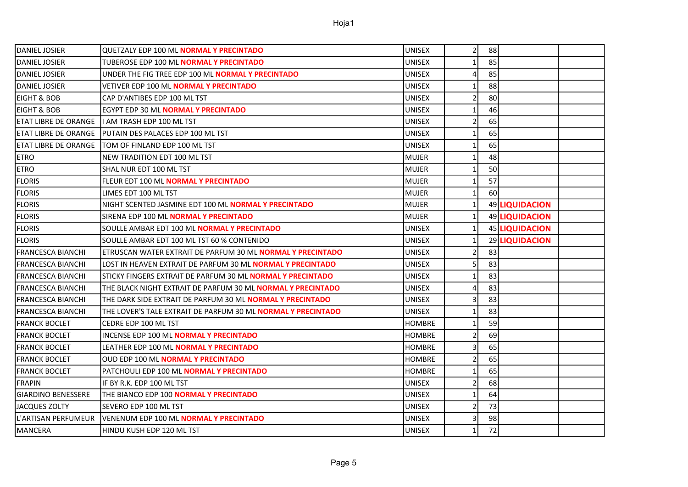| IDANIEL JOSIER              | QUETZALY EDP 100 ML <b>NORMAL Y PRECINTADO</b>                    | UNISEX        | 2 <sup>1</sup>  | 88 |                |  |
|-----------------------------|-------------------------------------------------------------------|---------------|-----------------|----|----------------|--|
| DANIEL JOSIER               | TUBEROSE EDP 100 ML NORMAL Y PRECINTADO                           | <b>UNISEX</b> | 1 <sup>1</sup>  | 85 |                |  |
| <b>DANIEL JOSIER</b>        | UNDER THE FIG TREE EDP 100 ML NORMAL Y PRECINTADO                 | <b>UNISEX</b> | $\overline{a}$  | 85 |                |  |
| <b>DANIEL JOSIER</b>        | <b>VETIVER EDP 100 ML NORMAL Y PRECINTADO</b>                     | <b>UNISEX</b> | $1\overline{ }$ | 88 |                |  |
| <b>EIGHT &amp; BOB</b>      | CAP D'ANTIBES EDP 100 ML TST                                      | <b>UNISEX</b> | $\overline{2}$  | 80 |                |  |
| EIGHT & BOB                 | EGYPT EDP 30 ML NORMAL Y PRECINTADO                               | <b>UNISEX</b> | 1 <sup>1</sup>  | 46 |                |  |
| <b>ETAT LIBRE DE ORANGE</b> | I AM TRASH EDP 100 ML TST                                         | <b>UNISEX</b> | $\overline{2}$  | 65 |                |  |
| <b>ETAT LIBRE DE ORANGE</b> | <b>IPUTAIN DES PALACES EDP 100 ML TST</b>                         | <b>UNISEX</b> | 1 <sup>1</sup>  | 65 |                |  |
| <b>ETAT LIBRE DE ORANGE</b> | <b>ITOM OF FINLAND EDP 100 ML TST</b>                             | <b>UNISEX</b> | $\mathbf{1}$    | 65 |                |  |
| <b>ETRO</b>                 | NEW TRADITION EDT 100 ML TST                                      | <b>MUJER</b>  | $1\vert$        | 48 |                |  |
| <b>ETRO</b>                 | SHAL NUR EDT 100 ML TST                                           | <b>MUJER</b>  | $\mathbf{1}$    | 50 |                |  |
| <b>FLORIS</b>               | FLEUR EDT 100 ML NORMAL Y PRECINTADO                              | <b>MUJER</b>  | 1 <sup>1</sup>  | 57 |                |  |
| <b>FLORIS</b>               | LIMES EDT 100 ML TST                                              | <b>MUJER</b>  | 1 <sup>1</sup>  | 60 |                |  |
| <b>FLORIS</b>               | NIGHT SCENTED JASMINE EDT 100 ML NORMAL Y PRECINTADO              | <b>MUJER</b>  | $\mathbf{1}$    |    | 49 LIQUIDACION |  |
| <b>FLORIS</b>               | SIRENA EDP 100 ML <b>NORMAL Y PRECINTADO</b>                      | <b>MUJER</b>  | 1               |    | 49 LIQUIDACION |  |
| <b>FLORIS</b>               | SOULLE AMBAR EDT 100 ML <b>NORMAL Y PRECINTADO</b>                | <b>UNISEX</b> | $1\vert$        |    | 45 LIQUIDACION |  |
| <b>FLORIS</b>               | SOULLE AMBAR EDT 100 ML TST 60 % CONTENIDO                        | <b>UNISEX</b> | $\mathbf{1}$    |    | 29 LIQUIDACION |  |
| <b>FRANCESCA BIANCHI</b>    | ETRUSCAN WATER EXTRAIT DE PARFUM 30 ML NORMAL Y PRECINTADO        | <b>UNISEX</b> | $\overline{2}$  | 83 |                |  |
| <b>FRANCESCA BIANCHI</b>    | LOST IN HEAVEN EXTRAIT DE PARFUM 30 ML <b>NORMAL Y PRECINTADO</b> | <b>UNISEX</b> | $\overline{5}$  | 83 |                |  |
| <b>FRANCESCA BIANCHI</b>    | STICKY FINGERS EXTRAIT DE PARFUM 30 ML NORMAL Y PRECINTADO        | <b>UNISEX</b> | $1\overline{ }$ | 83 |                |  |
| <b>FRANCESCA BIANCHI</b>    | THE BLACK NIGHT EXTRAIT DE PARFUM 30 ML NORMAL Y PRECINTADO       | <b>UNISEX</b> | $\overline{4}$  | 83 |                |  |
| <b>FRANCESCA BIANCHI</b>    | THE DARK SIDE EXTRAIT DE PARFUM 30 ML NORMAL Y PRECINTADO         | <b>UNISEX</b> | 3               | 83 |                |  |
| <b>FRANCESCA BIANCHI</b>    | THE LOVER'S TALE EXTRAIT DE PARFUM 30 ML NORMAL Y PRECINTADO      | <b>UNISEX</b> | $1\vert$        | 83 |                |  |
| <b>FRANCK BOCLET</b>        | CEDRE EDP 100 ML TST                                              | <b>HOMBRE</b> | $\mathbf{1}$    | 59 |                |  |
| <b>FRANCK BOCLET</b>        | <b>INCENSE EDP 100 ML NORMAL Y PRECINTADO</b>                     | <b>HOMBRE</b> | $\overline{2}$  | 69 |                |  |
| <b>FRANCK BOCLET</b>        | LEATHER EDP 100 ML NORMAL Y PRECINTADO                            | <b>HOMBRE</b> | $\overline{3}$  | 65 |                |  |
| <b>FRANCK BOCLET</b>        | <b>OUD EDP 100 ML NORMAL Y PRECINTADO</b>                         | <b>HOMBRE</b> | $\overline{2}$  | 65 |                |  |
| <b>FRANCK BOCLET</b>        | PATCHOULI EDP 100 ML NORMAL Y PRECINTADO                          | HOMBRE        | $1\overline{ }$ | 65 |                |  |
| <b>FRAPIN</b>               | IF BY R.K. EDP 100 ML TST                                         | <b>UNISEX</b> | $\overline{2}$  | 68 |                |  |
| <b>GIARDINO BENESSERE</b>   | THE BIANCO EDP 100 <b>NORMAL Y PRECINTADO</b>                     | <b>UNISEX</b> | 1 <sup>1</sup>  | 64 |                |  |
| <b>JACQUES ZOLTY</b>        | SEVERO EDP 100 ML TST                                             | <b>UNISEX</b> | $\overline{2}$  | 73 |                |  |
| L'ARTISAN PERFUMEUR         | VENENUM EDP 100 ML <b>NORMAL Y PRECINTADO</b>                     | <b>UNISEX</b> | $\overline{3}$  | 98 |                |  |
| <b>MANCERA</b>              | HINDU KUSH EDP 120 ML TST                                         | <b>UNISEX</b> | $\mathbf{1}$    | 72 |                |  |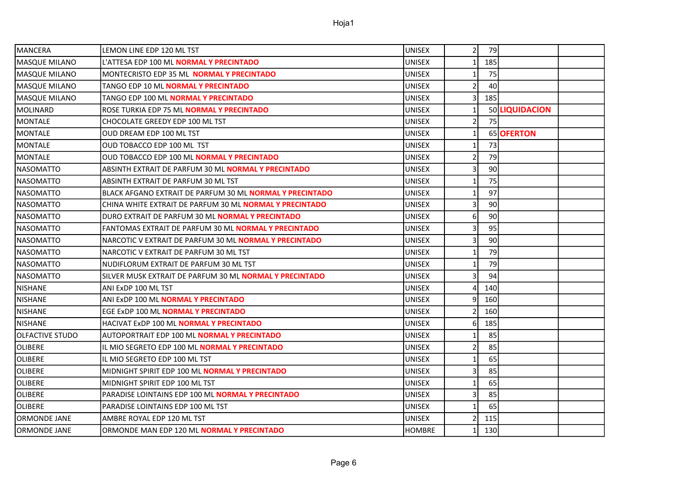| <b>MANCERA</b>         | LEMON LINE EDP 120 ML TST                                      | <b>UNISEX</b> | $\overline{2}$  | 79  |                |  |
|------------------------|----------------------------------------------------------------|---------------|-----------------|-----|----------------|--|
| <b>MASQUE MILANO</b>   | L'ATTESA EDP 100 ML <b>NORMAL Y PRECINTADO</b>                 | <b>UNISEX</b> | 1 <sup>1</sup>  | 185 |                |  |
| <b>MASQUE MILANO</b>   | MONTECRISTO EDP 35 ML NORMAL Y PRECINTADO                      | <b>UNISEX</b> | $\mathbf{1}$    | 75  |                |  |
| MASQUE MILANO          | TANGO EDP 10 ML NORMAL Y PRECINTADO                            | <b>UNISEX</b> | $\overline{2}$  | 40  |                |  |
| MASQUE MILANO          | TANGO EDP 100 ML NORMAL Y PRECINTADO                           | <b>UNISEX</b> | $\overline{3}$  | 185 |                |  |
| <b>MOLINARD</b>        | ROSE TURKIA EDP 75 ML <b>NORMAL Y PRECINTADO</b>               | <b>UNISEX</b> | $1\overline{ }$ |     | 50 LIQUIDACION |  |
| <b>MONTALE</b>         | CHOCOLATE GREEDY EDP 100 ML TST                                | <b>UNISEX</b> | $\overline{2}$  | 75  |                |  |
| MONTALE                | OUD DREAM EDP 100 ML TST                                       | <b>UNISEX</b> | $1\vert$        |     | 65 OFERTON     |  |
| MONTALE                | OUD TOBACCO EDP 100 ML TST                                     | UNISEX        | $1\vert$        | 73  |                |  |
| <b>MONTALE</b>         | <b>OUD TOBACCO EDP 100 ML NORMAL Y PRECINTADO</b>              | <b>UNISEX</b> | $\overline{2}$  | 79  |                |  |
| <b>NASOMATTO</b>       | ABSINTH EXTRAIT DE PARFUM 30 ML <b>NORMAL Y PRECINTADO</b>     | UNISEX        | $\overline{3}$  | 90  |                |  |
| <b>NASOMATTO</b>       | ABSINTH EXTRAIT DE PARFUM 30 ML TST                            | <b>UNISEX</b> | $\mathbf{1}$    | 75  |                |  |
| <b>NASOMATTO</b>       | BLACK AFGANO EXTRAIT DE PARFUM 30 ML NORMAL Y PRECINTADO       | <b>UNISEX</b> | $1\vert$        | 97  |                |  |
| <b>NASOMATTO</b>       | CHINA WHITE EXTRAIT DE PARFUM 30 ML <b>NORMAL Y PRECINTADO</b> | <b>UNISEX</b> | 3               | 90  |                |  |
| <b>NASOMATTO</b>       | DURO EXTRAIT DE PARFUM 30 ML <b>NORMAL Y PRECINTADO</b>        | <b>UNISEX</b> | 6 <sup>1</sup>  | 90  |                |  |
| <b>NASOMATTO</b>       | FANTOMAS EXTRAIT DE PARFUM 30 ML <b>NORMAL Y PRECINTADO</b>    | <b>UNISEX</b> | 3               | 95  |                |  |
| <b>NASOMATTO</b>       | NARCOTIC V EXTRAIT DE PARFUM 30 ML <b>NORMAL Y PRECINTADO</b>  | <b>UNISEX</b> | $\vert$ 3       | 90  |                |  |
| <b>NASOMATTO</b>       | NARCOTIC V EXTRAIT DE PARFUM 30 ML TST                         | <b>UNISEX</b> | $\mathbf{1}$    | 79  |                |  |
| <b>NASOMATTO</b>       | NUDIFLORUM EXTRAIT DE PARFUM 30 ML TST                         | <b>UNISEX</b> | $1\vert$        | 79  |                |  |
| <b>NASOMATTO</b>       | SILVER MUSK EXTRAIT DE PARFUM 30 ML <b>NORMAL Y PRECINTADO</b> | <b>UNISEX</b> | $\vert$ 3       | 94  |                |  |
| <b>NISHANE</b>         | ANI ExDP 100 ML TST                                            | <b>UNISEX</b> | $\overline{a}$  | 140 |                |  |
| NISHANE                | ANI ExDP 100 ML <b>NORMAL Y PRECINTADO</b>                     | <b>UNISEX</b> | $\overline{9}$  | 160 |                |  |
| <b>NISHANE</b>         | EGE ExDP 100 ML NORMAL Y PRECINTADO                            | <b>UNISEX</b> | $\overline{2}$  | 160 |                |  |
| <b>NISHANE</b>         | HACIVAT ExDP 100 ML NORMAL Y PRECINTADO                        | UNISEX        | $6 \mid$        | 185 |                |  |
| <b>OLFACTIVE STUDO</b> | AUTOPORTRAIT EDP 100 ML <b>NORMAL Y PRECINTADO</b>             | <b>UNISEX</b> | $\mathbf{1}$    | 85  |                |  |
| <b>OLIBERE</b>         | IL MIO SEGRETO EDP 100 ML <b>NORMAL Y PRECINTADO</b>           | <b>UNISEX</b> | $\overline{2}$  | 85  |                |  |
| <b>OLIBERE</b>         | IL MIO SEGRETO EDP 100 ML TST                                  | <b>UNISEX</b> | $1\overline{ }$ | 65  |                |  |
| <b>OLIBERE</b>         | MIDNIGHT SPIRIT EDP 100 ML <b>NORMAL Y PRECINTADO</b>          | <b>UNISEX</b> | $\overline{3}$  | 85  |                |  |
| <b>OLIBERE</b>         | MIDNIGHT SPIRIT EDP 100 ML TST                                 | <b>UNISEX</b> | $\mathbf{1}$    | 65  |                |  |
| OLIBERE                | PARADISE LOINTAINS EDP 100 ML NORMAL Y PRECINTADO              | <b>UNISEX</b> | $\overline{3}$  | 85  |                |  |
| <b>OLIBERE</b>         | PARADISE LOINTAINS EDP 100 ML TST                              | <b>UNISEX</b> | $1\overline{ }$ | 65  |                |  |
| <b>ORMONDE JANE</b>    | AMBRE ROYAL EDP 120 ML TST                                     | <b>UNISEX</b> | $\overline{2}$  | 115 |                |  |
| <b>ORMONDE JANE</b>    | ORMONDE MAN EDP 120 ML NORMAL Y PRECINTADO                     | <b>HOMBRE</b> | $1\overline{ }$ | 130 |                |  |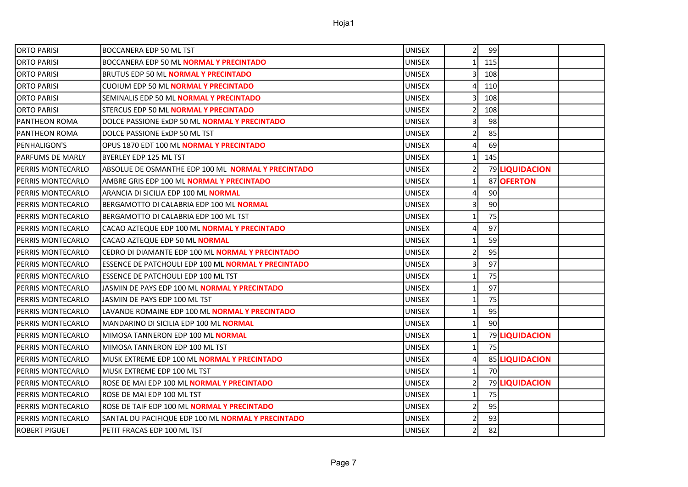| IORTO PARISI             | <b>BOCCANERA EDP 50 ML TST</b>                             | UNISEX        | 2                       | 99              |                |  |
|--------------------------|------------------------------------------------------------|---------------|-------------------------|-----------------|----------------|--|
| ORTO PARISI              | BOCCANERA EDP 50 ML NORMAL Y PRECINTADO                    | <b>UNISEX</b> | $1\vert$                | 115             |                |  |
| IORTO PARISI             | BRUTUS EDP 50 ML <b>NORMAL Y PRECINTADO</b>                | <b>UNISEX</b> | $\vert$ 3               | 108             |                |  |
| <b>ORTO PARISI</b>       | <b>CUOIUM EDP 50 ML NORMAL Y PRECINTADO</b>                | <b>UNISEX</b> | $\overline{4}$          | 110             |                |  |
| ORTO PARISI              | SEMINALIS EDP 50 ML <b>NORMAL Y PRECINTADO</b>             | <b>UNISEX</b> | $\overline{\mathsf{3}}$ | 108             |                |  |
| <b>ORTO PARISI</b>       | STERCUS EDP 50 ML <b>NORMAL Y PRECINTADO</b>               | <b>UNISEX</b> | $\overline{2}$          | 108             |                |  |
| IPANTHEON ROMA           | DOLCE PASSIONE ExDP 50 ML <b>NORMAL Y PRECINTADO</b>       | <b>UNISEX</b> | 3                       | 98              |                |  |
| IPANTHEON ROMA           | DOLCE PASSIONE ExDP 50 ML TST                              | <b>UNISEX</b> | $\overline{2}$          | 85              |                |  |
| IPENHALIGON'S            | OPUS 1870 EDT 100 ML NORMAL Y PRECINTADO                   | <b>UNISEX</b> | 4 <sup>1</sup>          | 69              |                |  |
| IPARFUMS DE MARLY        | BYERLEY EDP 125 ML TST                                     | <b>UNISEX</b> | 1 <sup>1</sup>          | 145             |                |  |
| IPERRIS MONTECARLO       | ABSOLUE DE OSMANTHE EDP 100 ML NORMAL Y PRECINTADO         | <b>UNISEX</b> | $\overline{2}$          |                 | 79 LIQUIDACION |  |
| <b>PERRIS MONTECARLO</b> | AMBRE GRIS EDP 100 ML <b>NORMAL Y PRECINTADO</b>           | <b>UNISEX</b> | 1                       |                 | 87 OFERTON     |  |
| PERRIS MONTECARLO        | ARANCIA DI SICILIA EDP 100 ML NORMAL                       | <b>UNISEX</b> | 4 <sup>1</sup>          | 90 <sub>0</sub> |                |  |
| IPERRIS MONTECARLO       | BERGAMOTTO DI CALABRIA EDP 100 ML NORMAL                   | <b>UNISEX</b> | $\overline{3}$          | 90              |                |  |
| IPERRIS MONTECARLO       | BERGAMOTTO DI CALABRIA EDP 100 ML TST                      | <b>UNISEX</b> | $\mathbf{1}$            | 75              |                |  |
| IPERRIS MONTECARLO       | CACAO AZTEQUE EDP 100 ML NORMAL Y PRECINTADO               | <b>UNISEX</b> | $\overline{4}$          | 97              |                |  |
| IPERRIS MONTECARLO       | CACAO AZTEQUE EDP 50 ML NORMAL                             | <b>UNISEX</b> | $1\vert$                | 59              |                |  |
| IPERRIS MONTECARLO       | CEDRO DI DIAMANTE EDP 100 ML NORMAL Y PRECINTADO           | <b>UNISEX</b> | $\overline{2}$          | 95              |                |  |
| IPERRIS MONTECARLO       | <b>ESSENCE DE PATCHOULI EDP 100 ML NORMAL Y PRECINTADO</b> | <b>UNISEX</b> | $\overline{3}$          | 97              |                |  |
| IPERRIS MONTECARLO       | ESSENCE DE PATCHOULI EDP 100 ML TST                        | <b>UNISEX</b> | 1                       | 75              |                |  |
| <b>PERRIS MONTECARLO</b> | JASMIN DE PAYS EDP 100 ML <b>NORMAL Y PRECINTADO</b>       | <b>UNISEX</b> | 1                       | 97              |                |  |
| IPERRIS MONTECARLO       | JASMIN DE PAYS EDP 100 ML TST                              | <b>UNISEX</b> | $\mathbf{1}$            | 75              |                |  |
| PERRIS MONTECARLO        | LAVANDE ROMAINE EDP 100 ML NORMAL Y PRECINTADO             | <b>UNISEX</b> | $1\vert$                | 95              |                |  |
| PERRIS MONTECARLO        | MANDARINO DI SICILIA EDP 100 ML NORMAL                     | <b>UNISEX</b> | 1                       | 90 <sub>0</sub> |                |  |
| IPERRIS MONTECARLO       | MIMOSA TANNERON EDP 100 ML NORMAL                          | <b>UNISEX</b> | $1\overline{ }$         |                 | 79 LIQUIDACION |  |
| <b>PERRIS MONTECARLO</b> | MIMOSA TANNERON EDP 100 ML TST                             | <b>UNISEX</b> | $\mathbf{1}$            | 75              |                |  |
| IPERRIS MONTECARLO       | MUSK EXTREME EDP 100 ML <b>NORMAL Y PRECINTADO</b>         | <b>UNISEX</b> | $\overline{4}$          |                 | 85 LIQUIDACION |  |
| <b>PERRIS MONTECARLO</b> | MUSK EXTREME EDP 100 ML TST                                | <b>UNISEX</b> | $1\vert$                | 70              |                |  |
| IPERRIS MONTECARLO       | ROSE DE MAI EDP 100 ML NORMAL Y PRECINTADO                 | <b>UNISEX</b> | $\overline{2}$          |                 | 79 LIQUIDACION |  |
| IPERRIS MONTECARLO       | ROSE DE MAI EDP 100 ML TST                                 | <b>UNISEX</b> | $\mathbf{1}$            | 75              |                |  |
| IPERRIS MONTECARLO       | ROSE DE TAIF EDP 100 ML NORMAL Y PRECINTADO                | <b>UNISEX</b> | $\overline{2}$          | 95              |                |  |
| PERRIS MONTECARLO        | SANTAL DU PACIFIQUE EDP 100 ML NORMAL Y PRECINTADO         | <b>UNISEX</b> | $\overline{2}$          | 93              |                |  |
| <b>ROBERT PIGUET</b>     | PETIT FRACAS EDP 100 ML TST                                | <b>UNISEX</b> | $\overline{2}$          | 82              |                |  |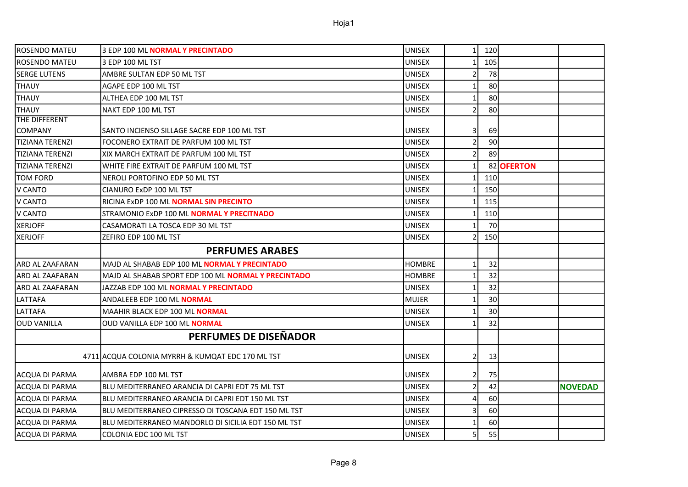| <b>ROSENDO MATEU</b>   | 3 EDP 100 ML NORMAL Y PRECINTADO                     | <b>UNISEX</b> | 1 <sup>1</sup>          | 120             |            |                |
|------------------------|------------------------------------------------------|---------------|-------------------------|-----------------|------------|----------------|
| <b>ROSENDO MATEU</b>   | 3 EDP 100 ML TST                                     | <b>UNISEX</b> |                         | 105             |            |                |
| <b>SERGE LUTENS</b>    | AMBRE SULTAN EDP 50 ML TST                           | <b>UNISEX</b> | $\overline{2}$          | 78              |            |                |
| <b>THAUY</b>           | AGAPE EDP 100 ML TST                                 | <b>UNISEX</b> | $\mathbf{1}$            | 80              |            |                |
| <b>THAUY</b>           | ALTHEA EDP 100 ML TST                                | <b>UNISEX</b> | 1                       | 80              |            |                |
| <b>THAUY</b>           | NAKT EDP 100 ML TST                                  | <b>UNISEX</b> | $\overline{2}$          | 80              |            |                |
| THE DIFFERENT          |                                                      |               |                         |                 |            |                |
| <b>COMPANY</b>         | SANTO INCIENSO SILLAGE SACRE EDP 100 ML TST          | <b>UNISEX</b> | $\overline{\mathsf{3}}$ | 69              |            |                |
| <b>TIZIANA TERENZI</b> | FOCONERO EXTRAIT DE PARFUM 100 ML TST                | <b>UNISEX</b> | $\overline{2}$          | 90 <sub>0</sub> |            |                |
| ITIZIANA TERENZI       | XIX MARCH EXTRAIT DE PARFUM 100 ML TST               | <b>UNISEX</b> | $\overline{2}$          | 89              |            |                |
| <b>TIZIANA TERENZI</b> | WHITE FIRE EXTRAIT DE PARFUM 100 ML TST              | <b>UNISEX</b> | $\mathbf{1}$            |                 | 82 OFERTON |                |
| <b>TOM FORD</b>        | NEROLI PORTOFINO EDP 50 ML TST                       | <b>UNISEX</b> |                         | 110             |            |                |
| V CANTO                | CIANURO ExDP 100 ML TST                              | <b>UNISEX</b> |                         | 150             |            |                |
| V CANTO                | RICINA ExDP 100 ML <b>NORMAL SIN PRECINTO</b>        | <b>UNISEX</b> |                         | 115             |            |                |
| V CANTO                | STRAMONIO ExDP 100 ML NORMAL Y PRECITNADO            | <b>UNISEX</b> | 1                       | 110             |            |                |
| <b>XERJOFF</b>         | CASAMORATI LA TOSCA EDP 30 ML TST                    | <b>UNISEX</b> |                         | 70              |            |                |
| <b>XERJOFF</b>         | ZEFIRO EDP 100 ML TST                                | <b>UNISEX</b> | $\overline{2}$          | 150             |            |                |
|                        | <b>PERFUMES ARABES</b>                               |               |                         |                 |            |                |
| lARD AL ZAAFARAN       | MAJD AL SHABAB EDP 100 ML <b>NORMAL Y PRECINTADO</b> | <b>HOMBRE</b> | 1                       | 32              |            |                |
| <b>ARD AL ZAAFARAN</b> | MAJD AL SHABAB SPORT EDP 100 ML NORMAL Y PRECINTADO  | <b>HOMBRE</b> | $\mathbf{1}$            | 32              |            |                |
| <b>ARD AL ZAAFARAN</b> | JAZZAB EDP 100 ML <b>NORMAL Y PRECINTADO</b>         | <b>UNISEX</b> | $\mathbf{1}$            | 32              |            |                |
| LATTAFA                | ANDALEEB EDP 100 ML NORMAL                           | <b>MUJER</b>  | $\mathbf{1}$            | 30              |            |                |
| LATTAFA                | MAAHIR BLACK EDP 100 ML NORMAL                       | <b>UNISEX</b> | $\mathbf{1}$            | 30              |            |                |
| <b>OUD VANILLA</b>     | <b>OUD VANILLA EDP 100 ML NORMAL</b>                 |               |                         |                 |            |                |
|                        |                                                      | <b>UNISEX</b> | $\mathbf{1}$            | 32              |            |                |
|                        | PERFUMES DE DISEÑADOR                                |               |                         |                 |            |                |
|                        | 4711 ACQUA COLONIA MYRRH & KUMQAT EDC 170 ML TST     | <b>UNISEX</b> | $\overline{2}$          | 13              |            |                |
| ACQUA DI PARMA         | AMBRA EDP 100 ML TST                                 | <b>UNISEX</b> | $\overline{2}$          | 75              |            |                |
| ACQUA DI PARMA         | BLU MEDITERRANEO ARANCIA DI CAPRI EDT 75 ML TST      | <b>UNISEX</b> | $\overline{2}$          | 42              |            | <b>NOVEDAD</b> |
| ACQUA DI PARMA         | BLU MEDITERRANEO ARANCIA DI CAPRI EDT 150 ML TST     | <b>UNISEX</b> | 4                       | 60              |            |                |
| <b>ACQUA DI PARMA</b>  | BLU MEDITERRANEO CIPRESSO DI TOSCANA EDT 150 ML TST  | <b>UNISEX</b> | 3                       | 60              |            |                |
| <b>ACQUA DI PARMA</b>  | BLU MEDITERRANEO MANDORLO DI SICILIA EDT 150 ML TST  | <b>UNISEX</b> | $\mathbf{1}$            | 60              |            |                |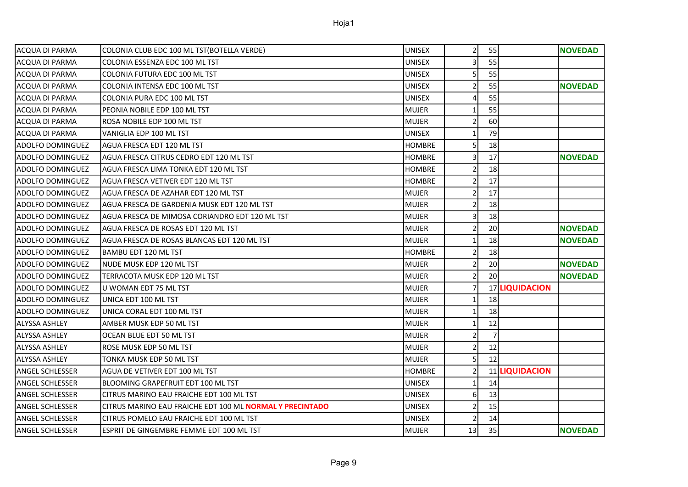| ACQUA DI PARMA          | COLONIA CLUB EDC 100 ML TST(BOTELLA VERDE)                       | <b>UNISEX</b> | $\overline{2}$ | 55 |                | <b>NOVEDAD</b> |
|-------------------------|------------------------------------------------------------------|---------------|----------------|----|----------------|----------------|
| <b>ACQUA DI PARMA</b>   | COLONIA ESSENZA EDC 100 ML TST                                   | <b>UNISEX</b> | $\overline{3}$ | 55 |                |                |
| ACQUA DI PARMA          | COLONIA FUTURA EDC 100 ML TST                                    | <b>UNISEX</b> | 5              | 55 |                |                |
| ACQUA DI PARMA          | COLONIA INTENSA EDC 100 ML TST                                   | UNISEX        | 2              | 55 |                | <b>NOVEDAD</b> |
| ACQUA DI PARMA          | COLONIA PURA EDC 100 ML TST                                      | <b>UNISEX</b> | 4              | 55 |                |                |
| ACQUA DI PARMA          | PEONIA NOBILE EDP 100 ML TST                                     | <b>MUJER</b>  |                | 55 |                |                |
| ACQUA DI PARMA          | ROSA NOBILE EDP 100 ML TST                                       | <b>MUJER</b>  | $\overline{2}$ | 60 |                |                |
| <b>ACQUA DI PARMA</b>   | VANIGLIA EDP 100 ML TST                                          | <b>UNISEX</b> | $\mathbf{1}$   | 79 |                |                |
| <b>ADOLFO DOMINGUEZ</b> | AGUA FRESCA EDT 120 ML TST                                       | <b>HOMBRE</b> | 5              | 18 |                |                |
| <b>ADOLFO DOMINGUEZ</b> | AGUA FRESCA CITRUS CEDRO EDT 120 ML TST                          | <b>HOMBRE</b> | $\overline{3}$ | 17 |                | <b>NOVEDAD</b> |
| <b>ADOLFO DOMINGUEZ</b> | AGUA FRESCA LIMA TONKA EDT 120 ML TST                            | <b>HOMBRE</b> | 2              | 18 |                |                |
| <b>ADOLFO DOMINGUEZ</b> | AGUA FRESCA VETIVER EDT 120 ML TST                               | <b>HOMBRE</b> | $\overline{2}$ | 17 |                |                |
| <b>ADOLFO DOMINGUEZ</b> | AGUA FRESCA DE AZAHAR EDT 120 ML TST                             | <b>MUJER</b>  | $\overline{2}$ | 17 |                |                |
| <b>ADOLFO DOMINGUEZ</b> | AGUA FRESCA DE GARDENIA MUSK EDT 120 ML TST                      | <b>MUJER</b>  | $\mathcal{I}$  | 18 |                |                |
| <b>ADOLFO DOMINGUEZ</b> | AGUA FRESCA DE MIMOSA CORIANDRO EDT 120 ML TST                   | <b>MUJER</b>  | 3              | 18 |                |                |
| <b>ADOLFO DOMINGUEZ</b> | AGUA FRESCA DE ROSAS EDT 120 ML TST                              | <b>MUJER</b>  | 2              | 20 |                | <b>NOVEDAD</b> |
| <b>ADOLFO DOMINGUEZ</b> | AGUA FRESCA DE ROSAS BLANCAS EDT 120 ML TST                      | <b>MUJER</b>  | $\mathbf{1}$   | 18 |                | <b>NOVEDAD</b> |
| <b>ADOLFO DOMINGUEZ</b> | IBAMBU EDT 120 ML TST                                            | <b>HOMBRE</b> | $\overline{2}$ | 18 |                |                |
| ADOLFO DOMINGUEZ        | NUDE MUSK EDP 120 ML TST                                         | <b>MUJER</b>  | $\overline{2}$ | 20 |                | <b>NOVEDAD</b> |
| ADOLFO DOMINGUEZ        | TERRACOTA MUSK EDP 120 ML TST                                    | <b>MUJER</b>  | $\overline{2}$ | 20 |                | <b>NOVEDAD</b> |
| <b>ADOLFO DOMINGUEZ</b> | U WOMAN EDT 75 ML TST                                            | <b>MUJER</b>  | $\overline{7}$ |    | 17 LIQUIDACION |                |
| <b>ADOLFO DOMINGUEZ</b> | UNICA EDT 100 ML TST                                             | <b>MUJER</b>  | $\mathbf{1}$   | 18 |                |                |
| <b>ADOLFO DOMINGUEZ</b> | UNICA CORAL EDT 100 ML TST                                       | <b>MUJER</b>  | $\mathbf{1}$   | 18 |                |                |
| ALYSSA ASHLEY           | AMBER MUSK EDP 50 ML TST                                         | <b>MUJER</b>  | -1             | 12 |                |                |
| ALYSSA ASHLEY           | OCEAN BLUE EDT 50 ML TST                                         | <b>MUJER</b>  | $\overline{2}$ |    |                |                |
| <b>ALYSSA ASHLEY</b>    | ROSE MUSK EDP 50 ML TST                                          | <b>MUJER</b>  | $\overline{2}$ | 12 |                |                |
| <b>ALYSSA ASHLEY</b>    | TONKA MUSK EDP 50 ML TST                                         | <b>MUJER</b>  | 5              | 12 |                |                |
| <b>ANGEL SCHLESSER</b>  | AGUA DE VETIVER EDT 100 ML TST                                   | <b>HOMBRE</b> | $\overline{2}$ |    | 11 LIQUIDACION |                |
| ANGEL SCHLESSER         | BLOOMING GRAPEFRUIT EDT 100 ML TST                               | <b>UNISEX</b> | 1              | 14 |                |                |
| ANGEL SCHLESSER         | CITRUS MARINO EAU FRAICHE EDT 100 ML TST                         | <b>UNISEX</b> | 6              | 13 |                |                |
| <b>ANGEL SCHLESSER</b>  | ICITRUS MARINO EAU FRAICHE EDT 100 ML <b>NORMAL Y PRECINTADO</b> | <b>UNISEX</b> | $\overline{2}$ | 15 |                |                |

ANGEL SCHLESSER ESPRIT DE GINGEMBRE FEMME EDT 100 ML TST NOVEDAD NUJER 13 35 NOVEDAD

ANGEL SCHLESSER CITRUS POMELO EAU FRAICHE EDT 100 ML TST AND THE UNISEX 2 14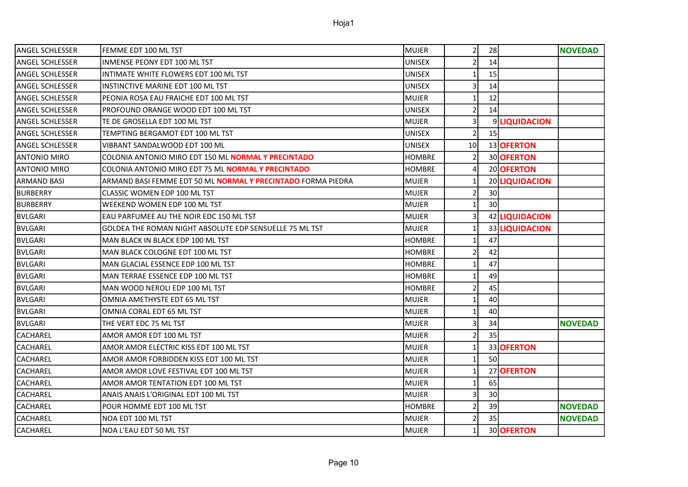| ANGEL SCHLESSER     | FEMME EDT 100 ML TST                                                | <b>MUJER</b>  | $\overline{2}$          | 28              |                | <b>NOVEDAD</b> |
|---------------------|---------------------------------------------------------------------|---------------|-------------------------|-----------------|----------------|----------------|
| ANGEL SCHLESSER     | <b>INMENSE PEONY EDT 100 ML TST</b>                                 | <b>UNISEX</b> | $\overline{2}$          | 14              |                |                |
| ANGEL SCHLESSER     | INTIMATE WHITE FLOWERS EDT 100 ML TST                               | <b>UNISEX</b> | $\mathbf{1}$            | 15              |                |                |
| ANGEL SCHLESSER     | INSTINCTIVE MARINE EDT 100 ML TST                                   | <b>UNISEX</b> | $\overline{\mathsf{3}}$ | 14              |                |                |
| ANGEL SCHLESSER     | PEONIA ROSA EAU FRAICHE EDT 100 ML TST                              | <b>MUJER</b>  | 1                       | 12              |                |                |
| ANGEL SCHLESSER     | PROFOUND ORANGE WOOD EDT 100 ML TST                                 | <b>UNISEX</b> | $\overline{2}$          | 14              |                |                |
| ANGEL SCHLESSER     | TE DE GROSELLA EDT 100 ML TST                                       | <b>MUJER</b>  | 3                       |                 | 9 LIQUIDACION  |                |
| ANGEL SCHLESSER     | TEMPTING BERGAMOT EDT 100 ML TST                                    | <b>UNISEX</b> | $\overline{2}$          | 15              |                |                |
| ANGEL SCHLESSER     | VIBRANT SANDALWOOD EDT 100 ML                                       | <b>UNISEX</b> | 10 <sup>1</sup>         |                 | 13 OFERTON     |                |
| <b>ANTONIO MIRO</b> | COLONIA ANTONIO MIRO EDT 150 ML NORMAL Y PRECINTADO                 | <b>HOMBRE</b> | $\overline{2}$          |                 | 30 OFERTON     |                |
| <b>ANTONIO MIRO</b> | COLONIA ANTONIO MIRO EDT 75 ML NORMAL Y PRECINTADO                  | <b>HOMBRE</b> | $\overline{a}$          |                 | 20 OFERTON     |                |
| ARMAND BASI         | ARMAND BASI FEMME EDT 50 ML <b>NORMAL Y PRECINTADO</b> FORMA PIEDRA | <b>MUJER</b>  | $\mathbf{1}$            |                 | 20 LIQUIDACION |                |
| <b>BURBERRY</b>     | CLASSIC WOMEN EDP 100 ML TST                                        | <b>MUJER</b>  | $\overline{2}$          | 30              |                |                |
| <b>BURBERRY</b>     | WEEKEND WOMEN EDP 100 ML TST                                        | <b>MUJER</b>  | $\mathbf{1}$            | 30 <sup>1</sup> |                |                |
| BVLGARI             | EAU PARFUMEE AU THE NOIR EDC 150 ML TST                             | <b>MUJER</b>  | $\overline{\mathsf{3}}$ |                 | 42 LIQUIDACION |                |
| <b>BVLGARI</b>      | GOLDEA THE ROMAN NIGHT ABSOLUTE EDP SENSUELLE 75 ML TST             | <b>MUJER</b>  | $\mathbf{1}$            |                 | 33 LIQUIDACION |                |
| <b>BVLGARI</b>      | MAN BLACK IN BLACK EDP 100 ML TST                                   | <b>HOMBRE</b> | 1                       | 47              |                |                |
| BVLGARI             | MAN BLACK COLOGNE EDT 100 ML TST                                    | <b>HOMBRE</b> | $\overline{2}$          | 42              |                |                |
| <b>BVLGARI</b>      | MAN GLACIAL ESSENCE EDP 100 ML TST                                  | <b>HOMBRE</b> | 1                       | 47              |                |                |
| BVLGARI             | MAN TERRAE ESSENCE EDP 100 ML TST                                   | <b>HOMBRE</b> | 1                       | 49              |                |                |
| <b>BVLGARI</b>      | MAN WOOD NEROLI EDP 100 ML TST                                      | <b>HOMBRE</b> | $\overline{2}$          | 45              |                |                |
| <b>BVLGARI</b>      | OMNIA AMETHYSTE EDT 65 ML TST                                       | <b>MUJER</b>  | $\mathbf{1}$            | 40              |                |                |
| <b>BVLGARI</b>      | OMNIA CORAL EDT 65 ML TST                                           | <b>MUJER</b>  | $\mathbf{1}$            | 40              |                |                |
| <b>BVLGARI</b>      | THE VERT EDC 75 ML TST                                              | MUJER         | 3                       | 34              |                | <b>NOVEDAD</b> |
| CACHAREL            | AMOR AMOR EDT 100 ML TST                                            | MUJER         | $\overline{2}$          | 35              |                |                |
| CACHAREL            | AMOR AMOR ELECTRIC KISS EDT 100 ML TST                              | <b>MUJER</b>  | 1                       |                 | 33 OFERTON     |                |
| CACHAREL            | AMOR AMOR FORBIDDEN KISS EDT 100 ML TST                             | <b>MUJER</b>  | 1                       | 50              |                |                |
| CACHAREL            | AMOR AMOR LOVE FESTIVAL EDT 100 ML TST                              | MUJER         | $\mathbf{1}$            |                 | 27 OFERTON     |                |
| CACHAREL            | AMOR AMOR TENTATION EDT 100 ML TST                                  | MUJER         | $1\,$                   | 65              |                |                |
| CACHAREL            | ANAIS ANAIS L'ORIGINAL EDT 100 ML TST                               | <b>MUJER</b>  | $\overline{3}$          | 30              |                |                |
| CACHAREL            | POUR HOMME EDT 100 ML TST                                           | <b>HOMBRE</b> | $\overline{2}$          | 39              |                | <b>NOVEDAD</b> |
| CACHAREL            | NOA EDT 100 ML TST                                                  | <b>MUJER</b>  | $\overline{2}$          | 35              |                | <b>NOVEDAD</b> |
| CACHAREL            | lNOA L'EAU EDT 50 ML TST                                            | MUJER         | $\mathbf{1}$            |                 | 30 OFERTON     |                |

Page 10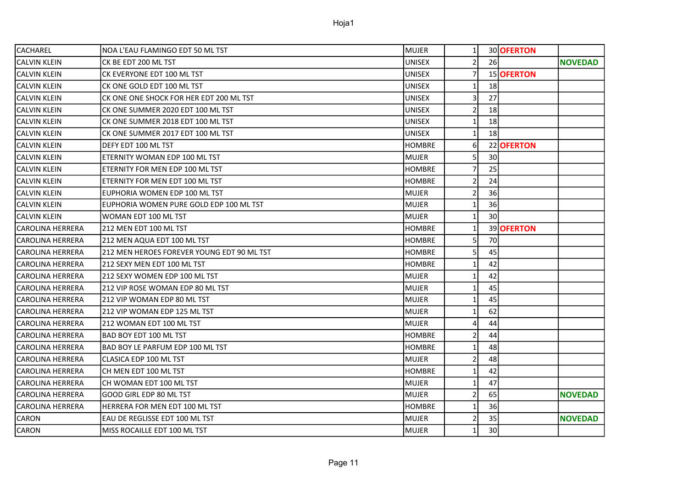| <b>CACHAREL</b>         | INOA L'EAU FLAMINGO EDT 50 ML TST          | <b>MUJER</b>  | 1              |                 | 30 OFERTON |                |
|-------------------------|--------------------------------------------|---------------|----------------|-----------------|------------|----------------|
| ICALVIN KLEIN           | CK BE EDT 200 ML TST                       | UNISEX        | $\overline{2}$ | 26              |            | <b>NOVEDAD</b> |
| <b>CALVIN KLEIN</b>     | CK EVERYONE EDT 100 ML TST                 | <b>UNISEX</b> | $\overline{7}$ |                 | 15 OFERTON |                |
| <b>CALVIN KLEIN</b>     | CK ONE GOLD EDT 100 ML TST                 | <b>UNISEX</b> | $\mathbf{1}$   | <b>18</b>       |            |                |
| ICALVIN KLEIN           | CK ONE ONE SHOCK FOR HER EDT 200 ML TST    | <b>UNISEX</b> | 3              | 27              |            |                |
| ICALVIN KLEIN           | CK ONE SUMMER 2020 EDT 100 ML TST          | <b>UNISEX</b> | 2              | 18              |            |                |
| <b>CALVIN KLEIN</b>     | CK ONE SUMMER 2018 EDT 100 ML TST          | <b>UNISEX</b> | 1              | 18              |            |                |
| <b>CALVIN KLEIN</b>     | CK ONE SUMMER 2017 EDT 100 ML TST          | <b>UNISEX</b> | $\mathbf{1}$   | 18              |            |                |
| <b>CALVIN KLEIN</b>     | DEFY EDT 100 ML TST                        | <b>HOMBRE</b> | 6              |                 | 22 OFERTON |                |
| <b>CALVIN KLEIN</b>     | ETERNITY WOMAN EDP 100 ML TST              | <b>MUJER</b>  | $\overline{5}$ | 30 <sup>1</sup> |            |                |
| <b>CALVIN KLEIN</b>     | ETERNITY FOR MEN EDP 100 ML TST            | <b>HOMBRE</b> |                | 25              |            |                |
| <b>CALVIN KLEIN</b>     | ETERNITY FOR MEN EDT 100 ML TST            | <b>HOMBRE</b> | $\overline{2}$ | 24              |            |                |
| <b>CALVIN KLEIN</b>     | EUPHORIA WOMEN EDP 100 ML TST              | MUJER         |                | 36              |            |                |
| ICALVIN KLEIN           | EUPHORIA WOMEN PURE GOLD EDP 100 ML TST    | <b>MUJER</b>  | $\mathbf{1}$   | 36              |            |                |
| <b>CALVIN KLEIN</b>     | WOMAN EDT 100 ML TST                       | MUJER         | 1              | 30              |            |                |
| lCAROLINA HERRERA       | 212 MEN EDT 100 ML TST                     | <b>HOMBRE</b> | $\mathbf{1}$   |                 | 39 OFERTON |                |
| CAROLINA HERRERA        | 212 MEN AQUA EDT 100 ML TST                | <b>HOMBRE</b> |                | 70              |            |                |
| lCAROLINA HERRERA       | 212 MEN HEROES FOREVER YOUNG EDT 90 ML TST | <b>HOMBRE</b> | 5              | 45              |            |                |
| CAROLINA HERRERA        | 212 SEXY MEN EDT 100 ML TST                | <b>HOMBRE</b> |                | 42              |            |                |
| lCAROLINA HERRERA       | 212 SEXY WOMEN EDP 100 ML TST              | MUJER         | $\mathbf{1}$   | 42              |            |                |
| CAROLINA HERRERA        | 212 VIP ROSE WOMAN EDP 80 ML TST           | MUJER         | 1              | 45              |            |                |
| CAROLINA HERRERA        | 212 VIP WOMAN EDP 80 ML TST                | MUJER         | 1              | 45              |            |                |
| lCAROLINA HERRERA       | 212 VIP WOMAN EDP 125 ML TST               | MUJER         | $\mathbf{1}$   | 62              |            |                |
| <b>CAROLINA HERRERA</b> | 212 WOMAN EDT 100 ML TST                   | <b>MUJER</b>  | 4              | 44              |            |                |
| <b>CAROLINA HERRERA</b> | <b>BAD BOY EDT 100 ML TST</b>              | <b>HOMBRE</b> | $\overline{2}$ | 44              |            |                |
| CAROLINA HERRERA        | BAD BOY LE PARFUM EDP 100 ML TST           | <b>HOMBRE</b> |                | 48              |            |                |
| lCAROLINA HERRERA       | ICLASICA EDP 100 ML TST                    | MUJER         | 2              | 48              |            |                |
| lCAROLINA HERRERA       | CH MEN EDT 100 ML TST                      | <b>HOMBRE</b> |                | 42              |            |                |
| lCAROLINA HERRERA       | CH WOMAN EDT 100 ML TST                    | lmujer.       | $\mathbf{1}$   | 47              |            |                |
| CAROLINA HERRERA        | GOOD GIRL EDP 80 ML TST                    | MUJER         | $\overline{2}$ | 65              |            | <b>NOVEDAD</b> |
| CAROLINA HERRERA        | HERRERA FOR MEN EDT 100 ML TST             | <b>HOMBRE</b> | $\mathbf{1}$   | 36              |            |                |
| <b>CARON</b>            | EAU DE REGLISSE EDT 100 ML TST             | MUJER         |                | 35              |            | <b>NOVEDAD</b> |
| <b>CARON</b>            | MISS ROCAILLE EDT 100 ML TST               | <b>MUJER</b>  | $\mathbf{1}$   | 30              |            |                |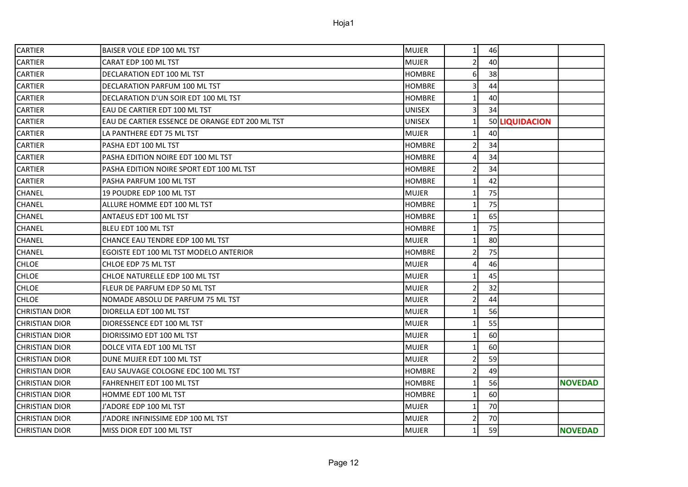| CARTIER               | BAISER VOLE EDP 100 ML TST                      | MUJER         | 1              | 46 |                |                |
|-----------------------|-------------------------------------------------|---------------|----------------|----|----------------|----------------|
| CARTIER               | CARAT EDP 100 ML TST                            | <b>MUJER</b>  | $\overline{2}$ | 40 |                |                |
| CARTIER               | DECLARATION EDT 100 ML TST                      | <b>HOMBRE</b> | 6              | 38 |                |                |
| CARTIER               | DECLARATION PARFUM 100 ML TST                   | <b>HOMBRE</b> | 3              | 44 |                |                |
| CARTIER               | DECLARATION D'UN SOIR EDT 100 ML TST            | <b>HOMBRE</b> | 1              | 40 |                |                |
| CARTIER               | EAU DE CARTIER EDT 100 ML TST                   | <b>UNISEX</b> | 3              | 34 |                |                |
| CARTIER               | EAU DE CARTIER ESSENCE DE ORANGE EDT 200 ML TST | <b>UNISEX</b> | $\mathbf{1}$   |    | 50 LIQUIDACION |                |
| CARTIER               | LA PANTHERE EDT 75 ML TST                       | <b>MUJER</b>  | $\mathbf{1}$   | 40 |                |                |
| CARTIER               | PASHA EDT 100 ML TST                            | <b>HOMBRE</b> | $\overline{2}$ | 34 |                |                |
| <b>CARTIER</b>        | PASHA EDITION NOIRE EDT 100 ML TST              | <b>HOMBRE</b> | $\overline{4}$ | 34 |                |                |
| CARTIER               | PASHA EDITION NOIRE SPORT EDT 100 ML TST        | <b>HOMBRE</b> | $\overline{2}$ | 34 |                |                |
| CARTIER               | PASHA PARFUM 100 ML TST                         | <b>HOMBRE</b> | 1              | 42 |                |                |
| CHANEL                | 19 POUDRE EDP 100 ML TST                        | <b>MUJER</b>  | 1              | 75 |                |                |
| CHANEL                | ALLURE HOMME EDT 100 ML TST                     | <b>HOMBRE</b> | $\mathbf{1}$   | 75 |                |                |
| CHANEL                | <b>ANTAEUS EDT 100 ML TST</b>                   | <b>HOMBRE</b> | $\mathbf{1}$   | 65 |                |                |
| CHANEL                | BLEU EDT 100 ML TST                             | <b>HOMBRE</b> | 1              | 75 |                |                |
| CHANEL                | CHANCE EAU TENDRE EDP 100 ML TST                | <b>MUJER</b>  | $\mathbf{1}$   | 80 |                |                |
| CHANEL                | EGOISTE EDT 100 ML TST MODELO ANTERIOR          | <b>HOMBRE</b> | $\overline{2}$ | 75 |                |                |
| <b>CHLOE</b>          | CHLOE EDP 75 ML TST                             | <b>MUJER</b>  | 4              | 46 |                |                |
| CHLOE                 | CHLOE NATURELLE EDP 100 ML TST                  | <b>MUJER</b>  | 1              | 45 |                |                |
| CHLOE                 | FLEUR DE PARFUM EDP 50 ML TST                   | <b>MUJER</b>  | $\overline{2}$ | 32 |                |                |
| CHLOE                 | NOMADE ABSOLU DE PARFUM 75 ML TST               | <b>MUJER</b>  | $\overline{2}$ | 44 |                |                |
| <b>CHRISTIAN DIOR</b> | DIORELLA EDT 100 ML TST                         | <b>MUJER</b>  | $\mathbf 1$    | 56 |                |                |
| CHRISTIAN DIOR        | DIORESSENCE EDT 100 ML TST                      | <b>MUJER</b>  | 1              | 55 |                |                |
| <b>CHRISTIAN DIOR</b> | DIORISSIMO EDT 100 ML TST                       | <b>MUJER</b>  | $\mathbf{1}$   | 60 |                |                |
| CHRISTIAN DIOR        | DOLCE VITA EDT 100 ML TST                       | MUJER         | $\mathbf{1}$   | 60 |                |                |
| CHRISTIAN DIOR        | DUNE MUJER EDT 100 ML TST                       | <b>MUJER</b>  | $\overline{2}$ | 59 |                |                |
| CHRISTIAN DIOR        | EAU SAUVAGE COLOGNE EDC 100 ML TST              | <b>HOMBRE</b> | $\overline{2}$ | 49 |                |                |
| CHRISTIAN DIOR        | FAHRENHEIT EDT 100 ML TST                       | <b>HOMBRE</b> | $\mathbf{1}$   | 56 |                | <b>NOVEDAD</b> |
| CHRISTIAN DIOR        | HOMME EDT 100 ML TST                            | <b>HOMBRE</b> | 1              | 60 |                |                |
| CHRISTIAN DIOR        | J'ADORE EDP 100 ML TST                          | <b>MUJER</b>  | $\mathbf{1}$   | 70 |                |                |
| CHRISTIAN DIOR        | J'ADORE INFINISSIME EDP 100 ML TST              | <b>MUJER</b>  | $\overline{2}$ | 70 |                |                |
| CHRISTIAN DIOR        | MISS DIOR EDT 100 ML TST                        | <b>MUJER</b>  | $\mathbf{1}$   | 59 |                | <b>NOVEDAD</b> |
|                       |                                                 |               |                |    |                |                |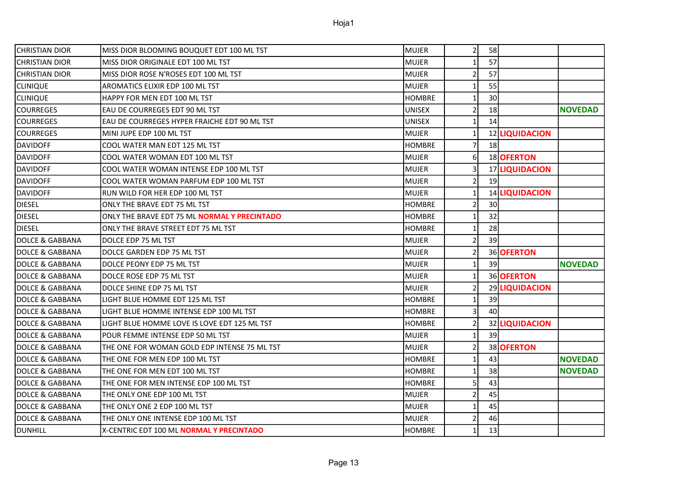| <b>CHRISTIAN DIOR</b>      | MISS DIOR BLOOMING BOUQUET EDT 100 ML TST    | MUJER         | $2\vert$        | 58              |                |                |
|----------------------------|----------------------------------------------|---------------|-----------------|-----------------|----------------|----------------|
| <b>CHRISTIAN DIOR</b>      | MISS DIOR ORIGINALE EDT 100 ML TST           | <b>MUJER</b>  | $1\vert$        | 57              |                |                |
| <b>CHRISTIAN DIOR</b>      | MISS DIOR ROSE N'ROSES EDT 100 ML TST        | <b>MUJER</b>  | $\overline{2}$  | 57              |                |                |
| <b>CLINIQUE</b>            | AROMATICS ELIXIR EDP 100 ML TST              | <b>MUJER</b>  | 1               | 55              |                |                |
| <b>CLINIQUE</b>            | HAPPY FOR MEN EDT 100 ML TST                 | <b>HOMBRE</b> | $1\overline{ }$ | 30              |                |                |
| <b>COURREGES</b>           | EAU DE COURREGES EDT 90 ML TST               | <b>UNISEX</b> | $\overline{2}$  | 18              |                | <b>NOVEDAD</b> |
| <b>COURREGES</b>           | EAU DE COURREGES HYPER FRAICHE EDT 90 ML TST | <b>UNISEX</b> | $\mathbf{1}$    | 14              |                |                |
| <b>COURREGES</b>           | MINI JUPE EDP 100 ML TST                     | <b>MUJER</b>  | $\mathbf{1}$    |                 | 12 LIQUIDACION |                |
| <b>DAVIDOFF</b>            | COOL WATER MAN EDT 125 ML TST                | <b>HOMBRE</b> | $\overline{7}$  | 18              |                |                |
| <b>DAVIDOFF</b>            | COOL WATER WOMAN EDT 100 ML TST              | <b>MUJER</b>  | $6 \mid$        |                 | 18 OFERTON     |                |
| <b>DAVIDOFF</b>            | COOL WATER WOMAN INTENSE EDP 100 ML TST      | <b>MUJER</b>  | $\overline{3}$  |                 | 17 LIQUIDACION |                |
| <b>DAVIDOFF</b>            | COOL WATER WOMAN PARFUM EDP 100 ML TST       | <b>MUJER</b>  | $\overline{2}$  | 19              |                |                |
| <b>DAVIDOFF</b>            | RUN WILD FOR HER EDP 100 ML TST              | <b>MUJER</b>  | $1\overline{ }$ |                 | 14 LIQUIDACION |                |
| <b>DIESEL</b>              | ONLY THE BRAVE EDT 75 ML TST                 | <b>HOMBRE</b> | $\overline{2}$  | 30 <sup>°</sup> |                |                |
| <b>DIESEL</b>              | ONLY THE BRAVE EDT 75 ML NORMAL Y PRECINTADO | <b>HOMBRE</b> | $\mathbf{1}$    | 32              |                |                |
| <b>DIESEL</b>              | ONLY THE BRAVE STREET EDT 75 ML TST          | <b>HOMBRE</b> | $\mathbf{1}$    | 28              |                |                |
| DOLCE & GABBANA            | DOLCE EDP 75 ML TST                          | <b>MUJER</b>  | $\overline{2}$  | 39              |                |                |
| DOLCE & GABBANA            | DOLCE GARDEN EDP 75 ML TST                   | <b>MUJER</b>  | $\overline{2}$  |                 | 36 OFERTON     |                |
| <b>DOLCE &amp; GABBANA</b> | DOLCE PEONY EDP 75 ML TST                    | MUJER         | 1               | 39              |                | <b>NOVEDAD</b> |
| <b>DOLCE &amp; GABBANA</b> | DOLCE ROSE EDP 75 ML TST                     | <b>MUJER</b>  | $\mathbf{1}$    |                 | 36 OFERTON     |                |
| <b>DOLCE &amp; GABBANA</b> | DOLCE SHINE EDP 75 ML TST                    | <b>MUJER</b>  | $\overline{2}$  |                 | 29 LIQUIDACION |                |
| <b>DOLCE &amp; GABBANA</b> | LIGHT BLUE HOMME EDT 125 ML TST              | <b>HOMBRE</b> | $1\overline{ }$ | 39              |                |                |
| <b>DOLCE &amp; GABBANA</b> | LIGHT BLUE HOMME INTENSE EDP 100 ML TST      | <b>HOMBRE</b> | $\overline{3}$  | 40              |                |                |
| DOLCE & GABBANA            | LIGHT BLUE HOMME LOVE IS LOVE EDT 125 ML TST | <b>HOMBRE</b> | $\overline{2}$  |                 | 32 LIQUIDACION |                |
| DOLCE & GABBANA            | POUR FEMME INTENSE EDP 50 ML TST             | <b>MUJER</b>  | $\mathbf{1}$    | 39              |                |                |
| <b>DOLCE &amp; GABBANA</b> | THE ONE FOR WOMAN GOLD EDP INTENSE 75 ML TST | <b>MUJER</b>  | $\overline{2}$  |                 | 38 OFERTON     |                |
| DOLCE & GABBANA            | THE ONE FOR MEN EDP 100 ML TST               | <b>HOMBRE</b> | $1\vert$        | 43              |                | <b>NOVEDAD</b> |
| DOLCE & GABBANA            | THE ONE FOR MEN EDT 100 ML TST               | <b>HOMBRE</b> | $1\vert$        | 38              |                | <b>NOVEDAD</b> |
| DOLCE & GABBANA            | THE ONE FOR MEN INTENSE EDP 100 ML TST       | <b>HOMBRE</b> | $\overline{5}$  | 43              |                |                |
| <b>DOLCE &amp; GABBANA</b> | THE ONLY ONE EDP 100 ML TST                  | <b>MUJER</b>  | $\overline{2}$  | 45              |                |                |
| DOLCE & GABBANA            | THE ONLY ONE 2 EDP 100 ML TST                | <b>MUJER</b>  | $1\vert$        | 45              |                |                |
| <b>DOLCE &amp; GABBANA</b> | THE ONLY ONE INTENSE EDP 100 ML TST          | <b>MUJER</b>  | $\overline{2}$  | 46              |                |                |
| <b>DUNHILL</b>             | X-CENTRIC EDT 100 ML NORMAL Y PRECINTADO     | <b>HOMBRE</b> | $1\overline{ }$ | 13              |                |                |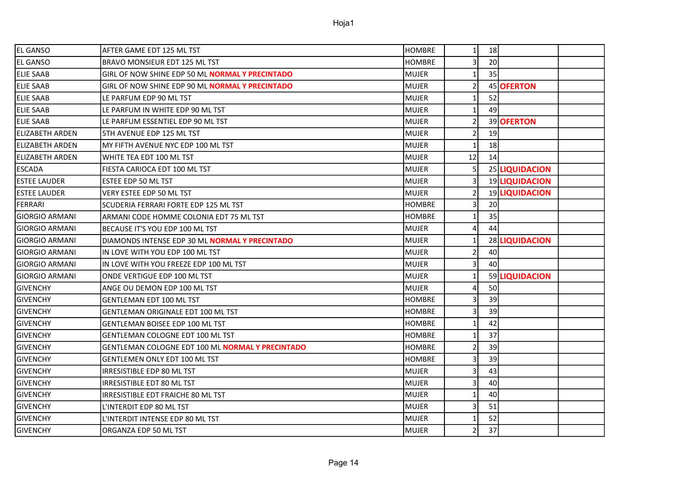| <b>EL GANSO</b>       | AFTER GAME EDT 125 ML TST                              | <b>HOMBRE</b> | $\mathbf{1}$   | 18 |                |  |
|-----------------------|--------------------------------------------------------|---------------|----------------|----|----------------|--|
| <b>EL GANSO</b>       | <b>BRAVO MONSIEUR EDT 125 ML TST</b>                   | <b>HOMBRE</b> | $\overline{3}$ | 20 |                |  |
| <b>ELIE SAAB</b>      | GIRL OF NOW SHINE EDP 50 ML NORMAL Y PRECINTADO        | <b>MUJER</b>  | $\mathbf{1}$   | 35 |                |  |
| <b>ELIE SAAB</b>      | GIRL OF NOW SHINE EDP 90 ML <b>NORMAL Y PRECINTADO</b> | <b>MUJER</b>  | $\overline{2}$ |    | 45 OFERTON     |  |
| <b>ELIE SAAB</b>      | LE PARFUM EDP 90 ML TST                                | <b>MUJER</b>  | 1              | 52 |                |  |
| <b>ELIE SAAB</b>      | LE PARFUM IN WHITE EDP 90 ML TST                       | <b>MUJER</b>  | $\mathbf{1}$   | 49 |                |  |
| <b>ELIE SAAB</b>      | LE PARFUM ESSENTIEL EDP 90 ML TST                      | <b>MUJER</b>  | 2              |    | 39 OFERTON     |  |
| lelizabeth arden      | 5TH AVENUE EDP 125 ML TST                              | <b>MUJER</b>  | $\overline{2}$ | 19 |                |  |
| lELIZABETH ARDEN      | MY FIFTH AVENUE NYC EDP 100 ML TST                     | <b>MUJER</b>  | 1              | 18 |                |  |
| lelizabeth arden      | WHITE TEA EDT 100 ML TST                               | <b>MUJER</b>  | 12             | 14 |                |  |
| <b>ESCADA</b>         | FIESTA CARIOCA EDT 100 ML TST                          | <b>MUJER</b>  | 5              |    | 25 LIQUIDACION |  |
| <b>ESTEE LAUDER</b>   | ESTEE EDP 50 ML TST                                    | <b>MUJER</b>  | $\overline{3}$ |    | 19 LIQUIDACION |  |
| lestee lauder         | VERY ESTEE EDP 50 ML TST                               | <b>MUJER</b>  | $\overline{2}$ |    | 19 LIQUIDACION |  |
| FERRARI               | SCUDERIA FERRARI FORTE EDP 125 ML TST                  | <b>HOMBRE</b> | 3              | 20 |                |  |
| IGIORGIO ARMANI       | ARMANI CODE HOMME COLONIA EDT 75 ML TST                | <b>HOMBRE</b> | $\mathbf{1}$   | 35 |                |  |
| <b>GIORGIO ARMANI</b> | BECAUSE IT'S YOU EDP 100 ML TST                        | <b>MUJER</b>  | $\overline{4}$ | 44 |                |  |
| IGIORGIO ARMANI       | DIAMONDS INTENSE EDP 30 ML <b>NORMAL Y PRECINTADO</b>  | <b>MUJER</b>  | $\mathbf{1}$   |    | 28 LIQUIDACION |  |
| <b>GIORGIO ARMANI</b> | IN LOVE WITH YOU EDP 100 ML TST                        | <b>MUJER</b>  | $\overline{2}$ | 40 |                |  |
| <b>GIORGIO ARMANI</b> | IN LOVE WITH YOU FREEZE EDP 100 ML TST                 | <b>MUJER</b>  | $\overline{3}$ | 40 |                |  |
| IGIORGIO ARMANI       | ONDE VERTIGUE EDP 100 ML TST                           | <b>MUJER</b>  | $\mathbf{1}$   |    | 59 LIQUIDACION |  |
| <b>GIVENCHY</b>       | ANGE OU DEMON EDP 100 ML TST                           | <b>MUJER</b>  | $\overline{4}$ | 50 |                |  |
| <b>GIVENCHY</b>       | <b>GENTLEMAN EDT 100 ML TST</b>                        | <b>HOMBRE</b> | $\overline{3}$ | 39 |                |  |
| GIVENCHY              | GENTLEMAN ORIGINALE EDT 100 ML TST                     | <b>HOMBRE</b> | 3              | 39 |                |  |
| <b>GIVENCHY</b>       | GENTLEMAN BOISEE EDP 100 ML TST                        | <b>HOMBRE</b> | 1              | 42 |                |  |
| <b>GIVENCHY</b>       | <b>GENTLEMAN COLOGNE EDT 100 ML TST</b>                | <b>HOMBRE</b> | $\mathbf{1}$   | 37 |                |  |
| <b>GIVENCHY</b>       | GENTLEMAN COLOGNE EDT 100 ML NORMAL Y PRECINTADO       | <b>HOMBRE</b> | $\overline{2}$ | 39 |                |  |
| <b>GIVENCHY</b>       | GENTLEMEN ONLY EDT 100 ML TST                          | <b>HOMBRE</b> | 3              | 39 |                |  |
| <b>GIVENCHY</b>       | IRRESISTIBLE EDP 80 ML TST                             | <b>MUJER</b>  | $\overline{3}$ | 43 |                |  |
| <b>GIVENCHY</b>       | IRRESISTIBLE EDT 80 ML TST                             | <b>MUJER</b>  | $\overline{3}$ | 40 |                |  |
| <b>GIVENCHY</b>       | IRRESISTIBLE EDT FRAICHE 80 ML TST                     | <b>MUJER</b>  | $\mathbf 1$    | 40 |                |  |
| <b>GIVENCHY</b>       | L'INTERDIT EDP 80 ML TST                               | <b>MUJER</b>  | $\overline{3}$ | 51 |                |  |
| <b>GIVENCHY</b>       | L'INTERDIT INTENSE EDP 80 ML TST                       | <b>MUJER</b>  | $\mathbf{1}$   | 52 |                |  |
| <b>GIVENCHY</b>       | ORGANZA EDP 50 ML TST                                  | MUJER         | $\overline{2}$ | 37 |                |  |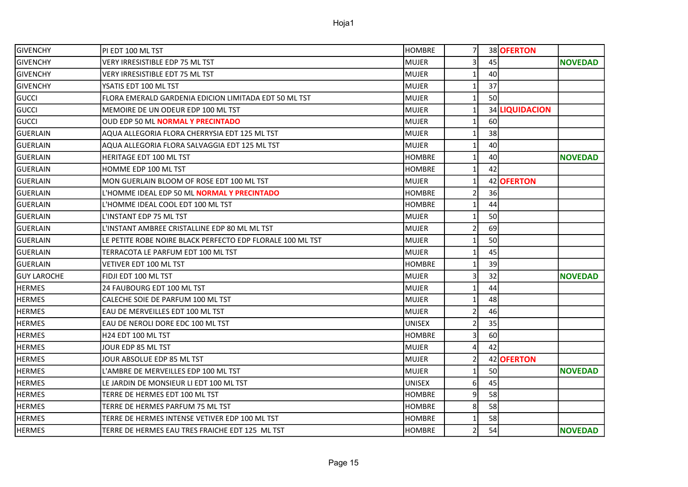| GIVENCHY           | PI EDT 100 ML TST                                          | <b>HOMBRE</b> | 7              |    | 38 OFERTON     |                |
|--------------------|------------------------------------------------------------|---------------|----------------|----|----------------|----------------|
| <b>GIVENCHY</b>    | VERY IRRESISTIBLE EDP 75 ML TST                            | <b>MUJER</b>  | 3              | 45 |                | <b>NOVEDAD</b> |
| <b>GIVENCHY</b>    | VERY IRRESISTIBLE EDT 75 ML TST                            | <b>MUJER</b>  | $\mathbf{1}$   | 40 |                |                |
| <b>GIVENCHY</b>    | YSATIS EDT 100 ML TST                                      | <b>MUJER</b>  | $\mathbf{1}$   | 37 |                |                |
| gucci              | FLORA EMERALD GARDENIA EDICION LIMITADA EDT 50 ML TST      | <b>MUJER</b>  | $\mathbf{1}$   | 50 |                |                |
| GUCCI              | MEMOIRE DE UN ODEUR EDP 100 ML TST                         | <b>MUJER</b>  | $\mathbf{1}$   |    | 34 LIQUIDACION |                |
| <b>GUCCI</b>       | <b>OUD EDP 50 ML NORMAL Y PRECINTADO</b>                   | <b>MUJER</b>  | $\mathbf{1}$   | 60 |                |                |
| <b>GUERLAIN</b>    | AQUA ALLEGORIA FLORA CHERRYSIA EDT 125 ML TST              | <b>MUJER</b>  | $\mathbf{1}$   | 38 |                |                |
| <b>GUERLAIN</b>    | AQUA ALLEGORIA FLORA SALVAGGIA EDT 125 ML TST              | <b>MUJER</b>  | 1              | 40 |                |                |
| <b>GUERLAIN</b>    | <b>HERITAGE EDT 100 ML TST</b>                             | <b>HOMBRE</b> | 1              | 40 |                | <b>NOVEDAD</b> |
| GUERLAIN           | HOMME EDP 100 ML TST                                       | <b>HOMBRE</b> | $\mathbf{1}$   | 42 |                |                |
| <b>GUERLAIN</b>    | MON GUERLAIN BLOOM OF ROSE EDT 100 ML TST                  | <b>MUJER</b>  | $\mathbf 1$    |    | 42 OFERTON     |                |
| <b>GUERLAIN</b>    | L'HOMME IDEAL EDP 50 ML NORMAL Y PRECINTADO                | <b>HOMBRE</b> | $\overline{2}$ | 36 |                |                |
| <b>GUERLAIN</b>    | L'HOMME IDEAL COOL EDT 100 ML TST                          | <b>HOMBRE</b> | $\mathbf{1}$   | 44 |                |                |
| GUERLAIN           | L'INSTANT EDP 75 ML TST                                    | MUJER         | $\mathbf 1$    | 50 |                |                |
| <b>GUERLAIN</b>    | L'INSTANT AMBREE CRISTALLINE EDP 80 ML ML TST              | <b>MUJER</b>  | $\overline{2}$ | 69 |                |                |
| GUERLAIN           | LE PETITE ROBE NOIRE BLACK PERFECTO EDP FLORALE 100 ML TST | <b>MUJER</b>  | $\mathbf{1}$   | 50 |                |                |
| GUERLAIN           | TERRACOTA LE PARFUM EDT 100 ML TST                         | <b>MUJER</b>  | $\mathbf{1}$   | 45 |                |                |
| GUERLAIN           | VETIVER EDT 100 ML TST                                     | <b>HOMBRE</b> | 1              | 39 |                |                |
| <b>GUY LAROCHE</b> | FIDJI EDT 100 ML TST                                       | <b>MUJER</b>  | 3              | 32 |                | <b>NOVEDAD</b> |
| <b>HERMES</b>      | 24 FAUBOURG EDT 100 ML TST                                 | <b>MUJER</b>  | $\mathbf{1}$   | 44 |                |                |
| <b>HERMES</b>      | CALECHE SOIE DE PARFUM 100 ML TST                          | <b>MUJER</b>  | $\mathbf{1}$   | 48 |                |                |
| <b>HERMES</b>      | EAU DE MERVEILLES EDT 100 ML TST                           | <b>MUJER</b>  | $\overline{2}$ | 46 |                |                |
| <b>HERMES</b>      | EAU DE NEROLI DORE EDC 100 ML TST                          | <b>UNISEX</b> | $\overline{2}$ | 35 |                |                |
| <b>HERMES</b>      | H24 EDT 100 ML TST                                         | <b>HOMBRE</b> | 3              | 60 |                |                |
| <b>HERMES</b>      | JOUR EDP 85 ML TST                                         | <b>MUJER</b>  | 4              | 42 |                |                |
| <b>HERMES</b>      | JOUR ABSOLUE EDP 85 ML TST                                 | <b>MUJER</b>  | $\overline{2}$ | 42 | <b>OFERTON</b> |                |
| HERMES             | L'AMBRE DE MERVEILLES EDP 100 ML TST                       | <b>MUJER</b>  | $\mathbf{1}$   | 50 |                | <b>NOVEDAD</b> |
| <b>HERMES</b>      | LE JARDIN DE MONSIEUR LI EDT 100 ML TST                    | <b>UNISEX</b> | 6              | 45 |                |                |
| <b>HERMES</b>      | TERRE DE HERMES EDT 100 ML TST                             | <b>HOMBRE</b> | 9              | 58 |                |                |
| <b>HERMES</b>      | TERRE DE HERMES PARFUM 75 ML TST                           | <b>HOMBRE</b> | 8              | 58 |                |                |
| <b>HERMES</b>      | TERRE DE HERMES INTENSE VETIVER EDP 100 ML TST             | <b>HOMBRE</b> | 1              | 58 |                |                |
| <b>HERMES</b>      | TERRE DE HERMES EAU TRES FRAICHE EDT 125 ML TST            | <b>HOMBRE</b> | $\overline{2}$ | 54 |                | <b>NOVEDAD</b> |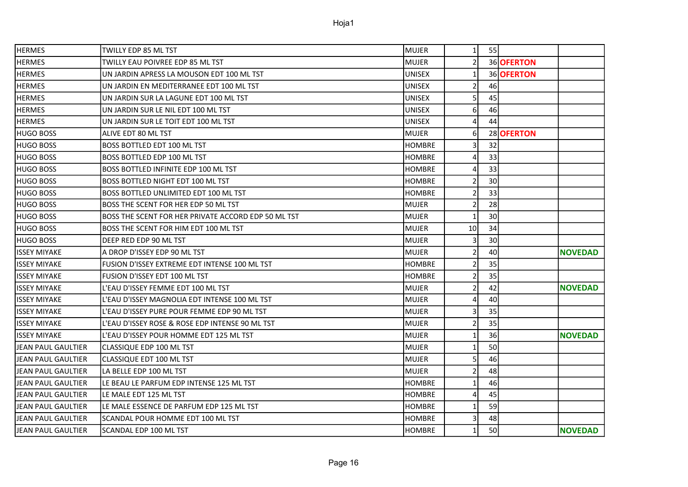| <b>HERMES</b>       | <b>TWILLY EDP 85 ML TST</b>                         | <b>MUJER</b>  | $\mathbf{1}$   | 55              |            |                |
|---------------------|-----------------------------------------------------|---------------|----------------|-----------------|------------|----------------|
| <b>HERMES</b>       | TWILLY EAU POIVREE EDP 85 ML TST                    | MUJER         | $\overline{2}$ |                 | 36 OFERTON |                |
| <b>HERMES</b>       | UN JARDIN APRESS LA MOUSON EDT 100 ML TST           | UNISEX        | $\mathbf{1}$   |                 | 36 OFERTON |                |
| <b>HERMES</b>       | UN JARDIN EN MEDITERRANEE EDT 100 ML TST            | <b>UNISEX</b> | $\overline{2}$ | 46              |            |                |
| HERMES              | UN JARDIN SUR LA LAGUNE EDT 100 ML TST              | UNISEX        | 5              | 45              |            |                |
| <b>HERMES</b>       | UN JARDIN SUR LE NIL EDT 100 ML TST                 | UNISEX        | 6              | 46              |            |                |
| HERMES              | UN JARDIN SUR LE TOIT EDT 100 ML TST                | <b>UNISEX</b> | 4              | 44              |            |                |
| HUGO BOSS           | ALIVE EDT 80 ML TST                                 | <b>MUJER</b>  | 6              |                 | 28 OFERTON |                |
| HUGO BOSS           | <b>BOSS BOTTLED EDT 100 ML TST</b>                  | <b>HOMBRE</b> | 3              | 32              |            |                |
| <b>HUGO BOSS</b>    | BOSS BOTTLED EDP 100 ML TST                         | <b>HOMBRE</b> | 4              | 33              |            |                |
| <b>HUGO BOSS</b>    | <b>BOSS BOTTLED INFINITE EDP 100 ML TST</b>         | <b>HOMBRE</b> | 4              | 33              |            |                |
| <b>HUGO BOSS</b>    | <b>BOSS BOTTLED NIGHT EDT 100 ML TST</b>            | HOMBRE        | $\overline{2}$ | 30 <sup>1</sup> |            |                |
| <b>HUGO BOSS</b>    | <b>BOSS BOTTLED UNLIMITED EDT 100 ML TST</b>        | <b>HOMBRE</b> | $\overline{2}$ | 33              |            |                |
| HUGO BOSS           | BOSS THE SCENT FOR HER EDP 50 ML TST                | <b>MUJER</b>  | $\overline{2}$ | 28              |            |                |
| HUGO BOSS           | BOSS THE SCENT FOR HER PRIVATE ACCORD EDP 50 ML TST | <b>MUJER</b>  | $\mathbf{1}$   | 30              |            |                |
| HUGO BOSS           | BOSS THE SCENT FOR HIM EDT 100 ML TST               | <b>MUJER</b>  | 10             | 34              |            |                |
| HUGO BOSS           | DEEP RED EDP 90 ML TST                              | <b>MUJER</b>  | 3              | 30 <sup>1</sup> |            |                |
| ISSEY MIYAKE        | A DROP D'ISSEY EDP 90 ML TST                        | <b>MUJER</b>  | $\overline{2}$ | 40              |            | <b>NOVEDAD</b> |
| <b>ISSEY MIYAKE</b> | FUSION D'ISSEY EXTREME EDT INTENSE 100 ML TST       | <b>HOMBRE</b> | $\overline{2}$ | 35              |            |                |
| <b>ISSEY MIYAKE</b> | FUSION D'ISSEY EDT 100 ML TST                       | <b>HOMBRE</b> | $\overline{2}$ | 35              |            |                |
| <b>ISSEY MIYAKE</b> | L'EAU D'ISSEY FEMME EDT 100 ML TST                  | MUJER         | $\overline{2}$ | 42              |            | <b>NOVEDAD</b> |
| ISSEY MIYAKE        | L'EAU D'ISSEY MAGNOLIA EDT INTENSE 100 ML TST       | <b>MUJER</b>  | 4              | 40              |            |                |
| <b>ISSEY MIYAKE</b> | L'EAU D'ISSEY PURE POUR FEMME EDP 90 ML TST         | <b>MUJER</b>  | 3              | 35              |            |                |
| <b>ISSEY MIYAKE</b> | L'EAU D'ISSEY ROSE & ROSE EDP INTENSE 90 ML TST     | <b>MUJER</b>  | $\overline{2}$ | 35              |            |                |
| ISSEY MIYAKE        | L'EAU D'ISSEY POUR HOMME EDT 125 ML TST             | <b>MUJER</b>  | $\mathbf{1}$   | 36              |            | <b>NOVEDAD</b> |
| JEAN PAUL GAULTIER  | CLASSIQUE EDP 100 ML TST                            | <b>MUJER</b>  | 1              | 50              |            |                |
| JEAN PAUL GAULTIER  | CLASSIQUE EDT 100 ML TST                            | <b>MUJER</b>  | 5              | 46              |            |                |
| JEAN PAUL GAULTIER  | LA BELLE EDP 100 ML TST                             | <b>MUJER</b>  | $\overline{2}$ | 48              |            |                |
| JEAN PAUL GAULTIER  | LE BEAU LE PARFUM EDP INTENSE 125 ML TST            | HOMBRE        | $\mathbf 1$    | 46              |            |                |
| JEAN PAUL GAULTIER  | LE MALE EDT 125 ML TST                              | HOMBRE        | 4              | 45              |            |                |
| JEAN PAUL GAULTIER  | LE MALE ESSENCE DE PARFUM EDP 125 ML TST            | <b>HOMBRE</b> | $\mathbf{1}$   | 59              |            |                |
| JEAN PAUL GAULTIER  | SCANDAL POUR HOMME EDT 100 ML TST                   | <b>HOMBRE</b> | 3              | 48              |            |                |
| JEAN PAUL GAULTIER  | SCANDAL EDP 100 ML TST                              | <b>HOMBRE</b> | $\mathbf 1$    | 50              |            | <b>NOVEDAD</b> |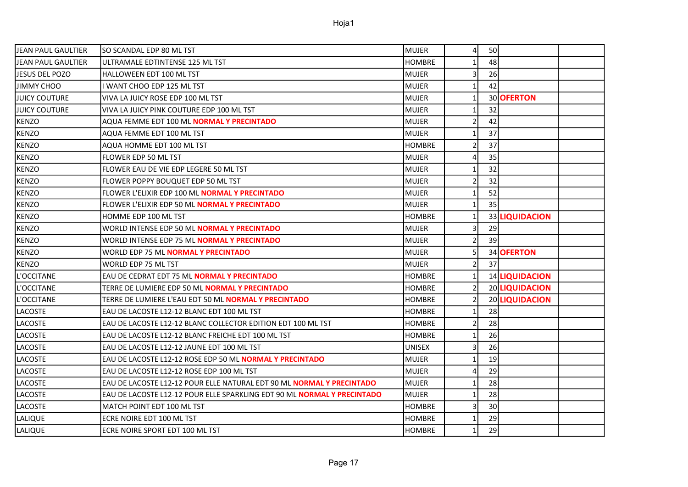| lJEAN PAUL GAULTIER | SO SCANDAL EDP 80 ML TST                                                | <b>MUJER</b>  | $\overline{4}$ | 50 |                |  |
|---------------------|-------------------------------------------------------------------------|---------------|----------------|----|----------------|--|
| IJEAN PAUL GAULTIER | ULTRAMALE EDTINTENSE 125 ML TST                                         | <b>HOMBRE</b> | $\mathbf{1}$   | 48 |                |  |
| JESUS DEL POZO      | HALLOWEEN EDT 100 ML TST                                                | <b>MUJER</b>  | 3              | 26 |                |  |
| JIMMY CHOO          | I WANT CHOO EDP 125 ML TST                                              | <b>MUJER</b>  | 1              | 42 |                |  |
| IJUICY COUTURE      | VIVA LA JUICY ROSE EDP 100 ML TST                                       | <b>MUJER</b>  | $\mathbf{1}$   |    | 30 OFERTON     |  |
| IJUICY COUTURE      | VIVA LA JUICY PINK COUTURE EDP 100 ML TST                               | <b>MUJER</b>  | $\mathbf{1}$   | 32 |                |  |
| <b>KENZO</b>        | AQUA FEMME EDT 100 ML NORMAL Y PRECINTADO                               | <b>MUJER</b>  | $\overline{2}$ | 42 |                |  |
| <b>KENZO</b>        | AQUA FEMME EDT 100 ML TST                                               | <b>MUJER</b>  | $\mathbf{1}$   | 37 |                |  |
| <b>KENZO</b>        | AQUA HOMME EDT 100 ML TST                                               | <b>HOMBRE</b> | $\overline{2}$ | 37 |                |  |
| KENZO               | FLOWER EDP 50 ML TST                                                    | <b>MUJER</b>  | 4              | 35 |                |  |
| <b>KENZO</b>        | FLOWER EAU DE VIE EDP LEGERE 50 ML TST                                  | <b>MUJER</b>  | 1              | 32 |                |  |
| KENZO               | FLOWER POPPY BOUQUET EDP 50 ML TST                                      | <b>MUJER</b>  | $\mathbf 2$    | 32 |                |  |
| <b>KENZO</b>        | FLOWER L'ELIXIR EDP 100 ML <b>NORMAL Y PRECINTADO</b>                   | <b>MUJER</b>  | $\mathbf{1}$   | 52 |                |  |
| <b>KENZO</b>        | FLOWER L'ELIXIR EDP 50 ML NORMAL Y PRECINTADO                           | <b>MUJER</b>  | $\mathbf{1}$   | 35 |                |  |
| KENZO               | HOMME EDP 100 ML TST                                                    | <b>HOMBRE</b> | 1              |    | 33 LIQUIDACION |  |
| <b>KENZO</b>        | WORLD INTENSE EDP 50 ML NORMAL Y PRECINTADO                             | <b>MUJER</b>  | 3              | 29 |                |  |
| KENZO               | WORLD INTENSE EDP 75 ML NORMAL Y PRECINTADO                             | <b>MUJER</b>  | $\overline{2}$ | 39 |                |  |
| <b>KENZO</b>        | WORLD EDP 75 ML NORMAL Y PRECINTADO                                     | <b>MUJER</b>  | 5              |    | 34 OFERTON     |  |
| <b>KENZO</b>        | WORLD EDP 75 ML TST                                                     | <b>MUJER</b>  | $\overline{2}$ | 37 |                |  |
| L'OCCITANE          | EAU DE CEDRAT EDT 75 ML NORMAL Y PRECINTADO                             | <b>HOMBRE</b> | $\mathbf{1}$   |    | 14 LIQUIDACION |  |
| L'OCCITANE          | TERRE DE LUMIERE EDP 50 ML NORMAL Y PRECINTADO                          | <b>HOMBRE</b> | $\overline{2}$ |    | 20 LIQUIDACION |  |
| L'OCCITANE          | TERRE DE LUMIERE L'EAU EDT 50 ML <b>NORMAL Y PRECINTADO</b>             | <b>HOMBRE</b> | $\overline{2}$ |    | 20 LIQUIDACION |  |
| LACOSTE             | EAU DE LACOSTE L12-12 BLANC EDT 100 ML TST                              | <b>HOMBRE</b> | $\mathbf{1}$   | 28 |                |  |
| LACOSTE             | EAU DE LACOSTE L12-12 BLANC COLLECTOR EDITION EDT 100 ML TST            | <b>HOMBRE</b> | 2              | 28 |                |  |
| <b>LACOSTE</b>      | EAU DE LACOSTE L12-12 BLANC FREICHE EDT 100 ML TST                      | <b>HOMBRE</b> | $\mathbf{1}$   | 26 |                |  |
| <b>LACOSTE</b>      | EAU DE LACOSTE L12-12 JAUNE EDT 100 ML TST                              | <b>UNISEX</b> | 3              | 26 |                |  |
| <b>LACOSTE</b>      | EAU DE LACOSTE L12-12 ROSE EDP 50 ML <b>NORMAL Y PRECINTADO</b>         | <b>MUJER</b>  | $\mathbf{1}$   | 19 |                |  |
| <b>LACOSTE</b>      | EAU DE LACOSTE L12-12 ROSE EDP 100 ML TST                               | <b>MUJER</b>  | 4              | 29 |                |  |
| LACOSTE             | EAU DE LACOSTE L12-12 POUR ELLE NATURAL EDT 90 ML NORMAL Y PRECINTADO   | <b>MUJER</b>  | 1              | 28 |                |  |
| LACOSTE             | EAU DE LACOSTE L12-12 POUR ELLE SPARKLING EDT 90 ML NORMAL Y PRECINTADO | <b>MUJER</b>  | $\mathbf{1}$   | 28 |                |  |
| LACOSTE             | MATCH POINT EDT 100 ML TST                                              | <b>HOMBRE</b> | 3              | 30 |                |  |
| LALIQUE             | ECRE NOIRE EDT 100 ML TST                                               | <b>HOMBRE</b> | 1              | 29 |                |  |
| LALIQUE             | ECRE NOIRE SPORT EDT 100 ML TST                                         | <b>HOMBRE</b> | $\mathbf{1}$   | 29 |                |  |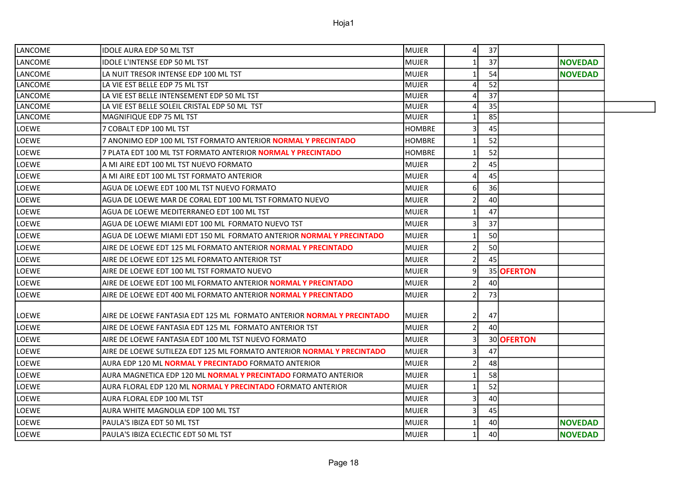| LANCOME        | <b>IDOLE AURA EDP 50 ML TST</b>                                            | MUJER         | $\overline{4}$ | 37              |            |                |
|----------------|----------------------------------------------------------------------------|---------------|----------------|-----------------|------------|----------------|
| LANCOME        | IDOLE L'INTENSE EDP 50 ML TST                                              | <b>MUJER</b>  |                | 37              |            | <b>NOVEDAD</b> |
| LANCOME        | LA NUIT TRESOR INTENSE EDP 100 ML TST                                      | <b>MUJER</b>  |                | 54              |            | <b>NOVEDAD</b> |
| LANCOME        | LA VIE EST BELLE EDP 75 ML TST                                             | <b>MUJER</b>  |                | $\overline{52}$ |            |                |
| LANCOME        | LA VIE EST BELLE INTENSEMENT EDP 50 ML TST                                 | <b>MUJER</b>  |                | $\overline{37}$ |            |                |
| LANCOME        | LA VIE EST BELLE SOLEIL CRISTAL EDP 50 ML TST                              | <b>MUJER</b>  |                | $\overline{35}$ |            |                |
| <b>LANCOME</b> | MAGNIFIQUE EDP 75 ML TST                                                   | <b>MUJER</b>  |                | 85              |            |                |
| LOEWE          | 7 COBALT EDP 100 ML TST                                                    | <b>HOMBRE</b> | 3              | 45              |            |                |
| LOEWE          | 7 ANONIMO EDP 100 ML TST FORMATO ANTERIOR NORMAL Y PRECINTADO              | <b>HOMBRE</b> |                | 52              |            |                |
| <b>LOEWE</b>   | 7 PLATA EDT 100 ML TST FORMATO ANTERIOR NORMAL Y PRECINTADO                | <b>HOMBRE</b> |                | 52              |            |                |
| LOEWE          | A MI AIRE EDT 100 ML TST NUEVO FORMATO                                     | <b>MUJER</b>  |                | 45              |            |                |
| LOEWE          | A MI AIRE EDT 100 ML TST FORMATO ANTERIOR                                  | <b>MUJER</b>  |                | 45              |            |                |
| LOEWE          | AGUA DE LOEWE EDT 100 ML TST NUEVO FORMATO                                 | <b>MUJER</b>  | 6              | 36              |            |                |
| LOEWE          | AGUA DE LOEWE MAR DE CORAL EDT 100 ML TST FORMATO NUEVO                    | <b>MUJER</b>  |                | 40              |            |                |
| LOEWE          | AGUA DE LOEWE MEDITERRANEO EDT 100 ML TST                                  | <b>MUJER</b>  |                | 47              |            |                |
| LOEWE          | AGUA DE LOEWE MIAMI EDT 100 ML FORMATO NUEVO TST                           | <b>MUJER</b>  |                | 37              |            |                |
| <b>LOEWE</b>   | AGUA DE LOEWE MIAMI EDT 150 ML FORMATO ANTERIOR <b>NORMAL Y PRECINTADO</b> | MUJER         |                | 50              |            |                |
| LOEWE          | AIRE DE LOEWE EDT 125 ML FORMATO ANTERIOR <b>NORMAL Y PRECINTADO</b>       | <b>MUJER</b>  |                | 50              |            |                |
| <b>LOEWE</b>   | AIRE DE LOEWE EDT 125 ML FORMATO ANTERIOR TST                              | <b>MUJER</b>  |                | 45              |            |                |
| LOEWE          | AIRE DE LOEWE EDT 100 ML TST FORMATO NUEVO                                 | <b>MUJER</b>  | 9              |                 | 35 OFERTON |                |
| <b>LOEWE</b>   | AIRE DE LOEWE EDT 100 ML FORMATO ANTERIOR <b>NORMAL Y PRECINTADO</b>       | <b>MUJER</b>  |                | 40              |            |                |
| <b>LOEWE</b>   | AIRE DE LOEWE EDT 400 ML FORMATO ANTERIOR NORMAL Y PRECINTADO              | <b>MUJER</b>  |                | 73              |            |                |
| LOEWE          | AIRE DE LOEWE FANTASIA EDT 125 ML FORMATO ANTERIOR NORMAL Y PRECINTADO     | <b>MUJER</b>  | 2              | 47              |            |                |
| LOEWE          | AIRE DE LOEWE FANTASIA EDT 125 ML FORMATO ANTERIOR TST                     | <b>MUJER</b>  |                | 40              |            |                |
| LOEWE          | AIRE DE LOEWE FANTASIA EDT 100 ML TST NUEVO FORMATO                        | <b>MUJER</b>  | 3              |                 | 30 OFERTON |                |
| <b>LOEWE</b>   | AIRE DE LOEWE SUTILEZA EDT 125 ML FORMATO ANTERIOR NORMAL Y PRECINTADO     | <b>MUJER</b>  | 3              | 47              |            |                |
| <b>LOEWE</b>   | AURA EDP 120 ML NORMAL Y PRECINTADO FORMATO ANTERIOR                       | <b>MUJER</b>  |                | 48              |            |                |
| <b>LOEWE</b>   | AURA MAGNETICA EDP 120 ML <b>NORMAL Y PRECINTADO</b> FORMATO ANTERIOR      | <b>MUJER</b>  |                | 58              |            |                |
| LOEWE          | AURA FLORAL EDP 120 ML NORMAL Y PRECINTADO FORMATO ANTERIOR                | MUJER         |                | 52              |            |                |
| <b>LOEWE</b>   | AURA FLORAL EDP 100 ML TST                                                 | <b>MUJER</b>  | 3              | 40              |            |                |
| <b>LOEWE</b>   | AURA WHITE MAGNOLIA EDP 100 ML TST                                         | <b>MUJER</b>  |                | 45              |            |                |
| LOEWE          | PAULA'S IBIZA EDT 50 ML TST                                                | <b>MUJER</b>  |                | 40              |            | <b>NOVEDAD</b> |
| LOEWE          | PAULA'S IBIZA ECLECTIC EDT 50 ML TST                                       | <b>MUJER</b>  | $\mathbf{1}$   | 40              |            | <b>NOVEDAD</b> |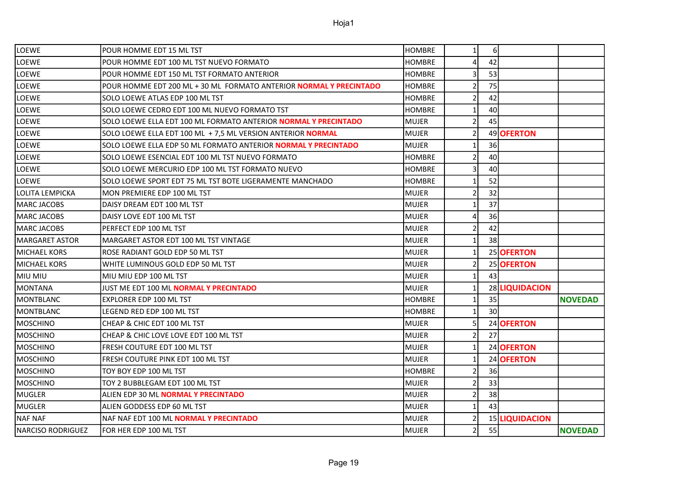| <b>LOEWE</b>             | POUR HOMME EDT 15 ML TST                                              | <b>HOMBRE</b> | 1 <sup>1</sup> | $6 \mid$        |                |                |
|--------------------------|-----------------------------------------------------------------------|---------------|----------------|-----------------|----------------|----------------|
| LOEWE                    | POUR HOMME EDT 100 ML TST NUEVO FORMATO                               | <b>HOMBRE</b> | 4              | 42              |                |                |
| <b>LOEWE</b>             | POUR HOMME EDT 150 ML TST FORMATO ANTERIOR                            | <b>HOMBRE</b> |                | 53              |                |                |
| LOEWE                    | POUR HOMME EDT 200 ML + 30 ML FORMATO ANTERIOR NORMAL Y PRECINTADO    | <b>HOMBRE</b> | $\mathcal{P}$  | 75              |                |                |
| <b>LOEWE</b>             | SOLO LOEWE ATLAS EDP 100 ML TST                                       | <b>HOMBRE</b> |                | 42              |                |                |
| <b>LOEWE</b>             | SOLO LOEWE CEDRO EDT 100 ML NUEVO FORMATO TST                         | <b>HOMBRE</b> | 1              | 40              |                |                |
| <b>LOEWE</b>             | SOLO LOEWE ELLA EDT 100 ML FORMATO ANTERIOR NORMAL Y PRECINTADO       | <b>MUJER</b>  |                | 45              |                |                |
| <b>LOEWE</b>             | SOLO LOEWE ELLA EDT 100 ML + 7,5 ML VERSION ANTERIOR NORMAL           | MUJER         | $\overline{2}$ |                 | 49 OFERTON     |                |
| LOEWE                    | SOLO LOEWE ELLA EDP 50 ML FORMATO ANTERIOR <b>NORMAL Y PRECINTADO</b> | <b>MUJER</b>  | 1              | 36              |                |                |
| <b>LOEWE</b>             | SOLO LOEWE ESENCIAL EDT 100 ML TST NUEVO FORMATO                      | <b>HOMBRE</b> | $\overline{2}$ | 40              |                |                |
| <b>LOEWE</b>             | SOLO LOEWE MERCURIO EDP 100 ML TST FORMATO NUEVO                      | <b>HOMBRE</b> |                | 40              |                |                |
| <b>LOEWE</b>             | SOLO LOEWE SPORT EDT 75 ML TST BOTE LIGERAMENTE MANCHADO              | <b>HOMBRE</b> |                | 52              |                |                |
| LOLITA LEMPICKA          | MON PREMIERE EDP 100 ML TST                                           | <b>MUJER</b>  |                | 32              |                |                |
| <b>MARC JACOBS</b>       | DAISY DREAM EDT 100 ML TST                                            | <b>MUJER</b>  |                | 37              |                |                |
| <b>MARC JACOBS</b>       | DAISY LOVE EDT 100 ML TST                                             | <b>MUJER</b>  | 4              | 36              |                |                |
| <b>MARC JACOBS</b>       | PERFECT EDP 100 ML TST                                                | <b>MUJER</b>  |                | 42              |                |                |
| <b>MARGARET ASTOR</b>    | MARGARET ASTOR EDT 100 ML TST VINTAGE                                 | <b>MUJER</b>  | 1              | 38              |                |                |
| <b>MICHAEL KORS</b>      | ROSE RADIANT GOLD EDP 50 ML TST                                       | MUJER         | $\mathbf{1}$   |                 | 25 OFERTON     |                |
| <b>MICHAEL KORS</b>      | WHITE LUMINOUS GOLD EDP 50 ML TST                                     | MUJER         | $\overline{2}$ |                 | 25 OFERTON     |                |
| MIU MIU                  | MIU MIU EDP 100 ML TST                                                | <b>MUJER</b>  | $\mathbf{1}$   | 43              |                |                |
| <b>MONTANA</b>           | JUST ME EDT 100 ML NORMAL Y PRECINTADO                                | MUJER         | 1              |                 | 28 LIQUIDACION |                |
| MONTBLANC                | <b>EXPLORER EDP 100 ML TST</b>                                        | <b>HOMBRE</b> | $\mathbf{1}$   | 35              |                | <b>NOVEDAD</b> |
| MONTBLANC                | LEGEND RED EDP 100 ML TST                                             | <b>HOMBRE</b> |                | 30 <sup>1</sup> |                |                |
| <b>MOSCHINO</b>          | CHEAP & CHIC EDT 100 ML TST                                           | <b>MUJER</b>  | 5              |                 | 24 OFERTON     |                |
| <b>MOSCHINO</b>          | CHEAP & CHIC LOVE LOVE EDT 100 ML TST                                 | <b>MUJER</b>  | 2              | 27              |                |                |
| MOSCHINO                 | FRESH COUTURE EDT 100 ML TST                                          | <b>MUJER</b>  | $\mathbf{1}$   |                 | 24 OFERTON     |                |
| MOSCHINO                 | FRESH COUTURE PINK EDT 100 ML TST                                     | <b>MUJER</b>  | 1              |                 | 24 OFERTON     |                |
| <b>MOSCHINO</b>          | TOY BOY EDP 100 ML TST                                                | <b>HOMBRE</b> | 2              | 36              |                |                |
| MOSCHINO                 | TOY 2 BUBBLEGAM EDT 100 ML TST                                        | <b>MUJER</b>  | $\mathcal{P}$  | 33              |                |                |
| MUGLER                   | ALIEN EDP 30 ML NORMAL Y PRECINTADO                                   | MUJER         | $\overline{2}$ | 38              |                |                |
| MUGLER                   | ALIEN GODDESS EDP 60 ML TST                                           | <b>MUJER</b>  | 1              | 43              |                |                |
| <b>NAF NAF</b>           | NAF NAF EDT 100 ML NORMAL Y PRECINTADO                                | <b>MUJER</b>  | 2              |                 | 15 LIQUIDACION |                |
| <b>NARCISO RODRIGUEZ</b> | FOR HER EDP 100 ML TST                                                | MUJER         |                | 55              |                | <b>NOVEDAD</b> |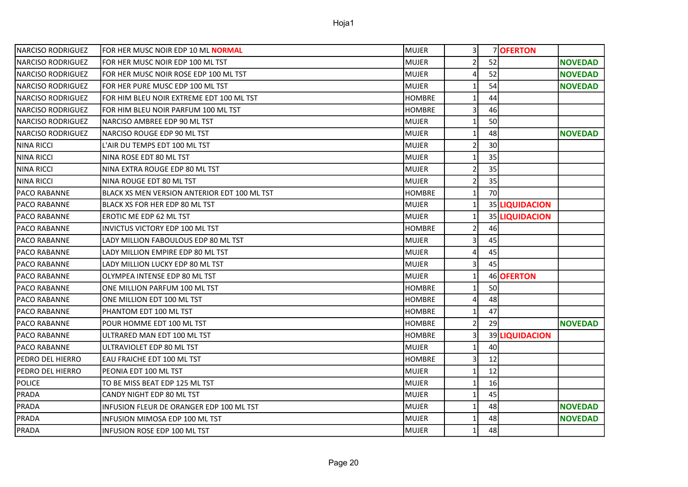| INARCISO RODRIGUEZ       | FOR HER MUSC NOIR EDP 10 ML NORMAL           | <b>MUJER</b>  | 3              |    | 7 OFERTON      |                |
|--------------------------|----------------------------------------------|---------------|----------------|----|----------------|----------------|
| INARCISO RODRIGUEZ       | FOR HER MUSC NOIR EDP 100 ML TST             | <b>MUJER</b>  | 2              | 52 |                | <b>NOVEDAD</b> |
| INARCISO RODRIGUEZ       | FOR HER MUSC NOIR ROSE EDP 100 ML TST        | <b>MUJER</b>  | 4              | 52 |                | <b>NOVEDAD</b> |
| NARCISO RODRIGUEZ        | FOR HER PURE MUSC EDP 100 ML TST             | MUJER         | 1              | 54 |                | <b>NOVEDAD</b> |
| <b>NARCISO RODRIGUEZ</b> | FOR HIM BLEU NOIR EXTREME EDT 100 ML TST     | <b>HOMBRE</b> | $\mathbf{1}$   | 44 |                |                |
| <b>NARCISO RODRIGUEZ</b> | FOR HIM BLEU NOIR PARFUM 100 ML TST          | <b>HOMBRE</b> | $\overline{3}$ | 46 |                |                |
| <b>NARCISO RODRIGUEZ</b> | NARCISO AMBREE EDP 90 ML TST                 | <b>MUJER</b>  | $\mathbf{1}$   | 50 |                |                |
| INARCISO RODRIGUEZ       | NARCISO ROUGE EDP 90 ML TST                  | <b>MUJER</b>  | $\mathbf{1}$   | 48 |                | <b>NOVEDAD</b> |
| <b>NINA RICCI</b>        | L'AIR DU TEMPS EDT 100 ML TST                | <b>MUJER</b>  | $\overline{2}$ | 30 |                |                |
| <b>NINA RICCI</b>        | NINA ROSE EDT 80 ML TST                      | <b>MUJER</b>  | $\mathbf{1}$   | 35 |                |                |
| <b>NINA RICCI</b>        | NINA EXTRA ROUGE EDP 80 ML TST               | <b>MUJER</b>  | $\overline{2}$ | 35 |                |                |
| <b>NINA RICCI</b>        | NINA ROUGE EDT 80 ML TST                     | <b>MUJER</b>  | $\overline{2}$ | 35 |                |                |
| IPACO RABANNE            | BLACK XS MEN VERSION ANTERIOR EDT 100 ML TST | <b>HOMBRE</b> | $\mathbf{1}$   | 70 |                |                |
| IPACO RABANNE            | BLACK XS FOR HER EDP 80 ML TST               | <b>MUJER</b>  | $\mathbf{1}$   |    | 35 LIQUIDACION |                |
| IPACO RABANNE            | EROTIC ME EDP 62 ML TST                      | <b>MUJER</b>  | $\mathbf{1}$   |    | 35 LIQUIDACION |                |
| PACO RABANNE             | INVICTUS VICTORY EDP 100 ML TST              | <b>HOMBRE</b> | $\overline{2}$ | 46 |                |                |
| IPACO RABANNE            | LADY MILLION FABOULOUS EDP 80 ML TST         | <b>MUJER</b>  | 3              | 45 |                |                |
| <b>PACO RABANNE</b>      | LADY MILLION EMPIRE EDP 80 ML TST            | <b>MUJER</b>  | 4              | 45 |                |                |
| PACO RABANNE             | LADY MILLION LUCKY EDP 80 ML TST             | <b>MUJER</b>  | 3              | 45 |                |                |
| IPACO RABANNE            | OLYMPEA INTENSE EDP 80 ML TST                | <b>MUJER</b>  | $\mathbf{1}$   |    | 46 OFERTON     |                |
| PACO RABANNE             | ONE MILLION PARFUM 100 ML TST                | <b>HOMBRE</b> | $\mathbf{1}$   | 50 |                |                |
| IPACO RABANNE            | ONE MILLION EDT 100 ML TST                   | <b>HOMBRE</b> | 4              | 48 |                |                |
| PACO RABANNE             | PHANTOM EDT 100 ML TST                       | <b>HOMBRE</b> | $\mathbf{1}$   | 47 |                |                |
| PACO RABANNE             | POUR HOMME EDT 100 ML TST                    | <b>HOMBRE</b> | $\overline{2}$ | 29 |                | <b>NOVEDAD</b> |
| IPACO RABANNE            | ULTRARED MAN EDT 100 ML TST                  | <b>HOMBRE</b> | 3              |    | 39 LIQUIDACION |                |
| PACO RABANNE             | ULTRAVIOLET EDP 80 ML TST                    | <b>MUJER</b>  | $\mathbf{1}$   | 40 |                |                |
| PEDRO DEL HIERRO         | EAU FRAICHE EDT 100 ML TST                   | <b>HOMBRE</b> | $\overline{3}$ | 12 |                |                |
| PEDRO DEL HIERRO         | PEONIA EDT 100 ML TST                        | <b>MUJER</b>  | 1              | 12 |                |                |
| <b>POLICE</b>            | TO BE MISS BEAT EDP 125 ML TST               | <b>MUJER</b>  | $\mathbf{1}$   | 16 |                |                |
| PRADA                    | CANDY NIGHT EDP 80 ML TST                    | <b>MUJER</b>  | $\mathbf{1}$   | 45 |                |                |
| PRADA                    | INFUSION FLEUR DE ORANGER EDP 100 ML TST     | <b>MUJER</b>  | 1              | 48 |                | <b>NOVEDAD</b> |
| PRADA                    | INFUSION MIMOSA EDP 100 ML TST               | <b>MUJER</b>  | $\mathbf{1}$   | 48 |                | <b>NOVEDAD</b> |
| PRADA                    | INFUSION ROSE EDP 100 ML TST                 | MUJER         | 1              | 48 |                |                |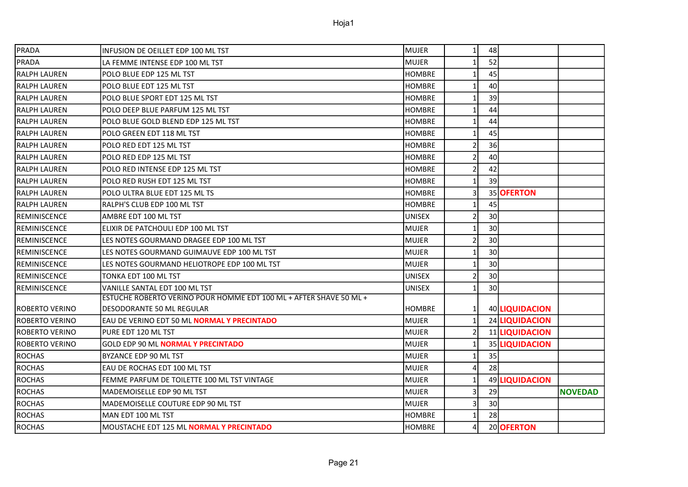| PRADA                 | INFUSION DE OEILLET EDP 100 ML TST                                 | <b>MUJER</b>  | $1\vert$       | 48              |                |                |
|-----------------------|--------------------------------------------------------------------|---------------|----------------|-----------------|----------------|----------------|
| PRADA                 | LA FEMME INTENSE EDP 100 ML TST                                    | <b>MUJER</b>  | $\mathbf{1}$   | 52              |                |                |
| RALPH LAUREN          | POLO BLUE EDP 125 ML TST                                           | <b>HOMBRE</b> | $\mathbf{1}$   | 45              |                |                |
| <b>RALPH LAUREN</b>   | POLO BLUE EDT 125 ML TST                                           | <b>HOMBRE</b> | $\mathbf{1}$   | 40              |                |                |
| <b>RALPH LAUREN</b>   | POLO BLUE SPORT EDT 125 ML TST                                     | <b>HOMBRE</b> | $\mathbf{1}$   | 39              |                |                |
| RALPH LAUREN          | POLO DEEP BLUE PARFUM 125 ML TST                                   | <b>HOMBRE</b> | $\mathbf{1}$   | 44              |                |                |
| RALPH LAUREN          | POLO BLUE GOLD BLEND EDP 125 ML TST                                | <b>HOMBRE</b> | 1              | 44              |                |                |
| <b>RALPH LAUREN</b>   | POLO GREEN EDT 118 ML TST                                          | <b>HOMBRE</b> | $\mathbf{1}$   | 45              |                |                |
| <b>RALPH LAUREN</b>   | POLO RED EDT 125 ML TST                                            | <b>HOMBRE</b> | $\overline{2}$ | 36              |                |                |
| RALPH LAUREN          | POLO RED EDP 125 ML TST                                            | <b>HOMBRE</b> | $\overline{2}$ | 40              |                |                |
| <b>RALPH LAUREN</b>   | POLO RED INTENSE EDP 125 ML TST                                    | <b>HOMBRE</b> | $\overline{2}$ | 42              |                |                |
| <b>RALPH LAUREN</b>   | POLO RED RUSH EDT 125 ML TST                                       | <b>HOMBRE</b> | $\mathbf{1}$   | 39              |                |                |
| <b>RALPH LAUREN</b>   | POLO ULTRA BLUE EDT 125 ML TS                                      | <b>HOMBRE</b> | $\overline{3}$ |                 | 35 OFERTON     |                |
| <b>RALPH LAUREN</b>   | RALPH'S CLUB EDP 100 ML TST                                        | <b>HOMBRE</b> | 1              | 45              |                |                |
| REMINISCENCE          | AMBRE EDT 100 ML TST                                               | <b>UNISEX</b> | $\overline{2}$ | 30              |                |                |
| REMINISCENCE          | ELIXIR DE PATCHOULI EDP 100 ML TST                                 | <b>MUJER</b>  | $\mathbf{1}$   | 30              |                |                |
| REMINISCENCE          | LES NOTES GOURMAND DRAGEE EDP 100 ML TST                           | <b>MUJER</b>  | $\mathbf 2$    | 30 <sup>1</sup> |                |                |
| REMINISCENCE          | LES NOTES GOURMAND GUIMAUVE EDP 100 ML TST                         | <b>MUJER</b>  | $\mathbf{1}$   | 30              |                |                |
| REMINISCENCE          | LES NOTES GOURMAND HELIOTROPE EDP 100 ML TST                       | <b>MUJER</b>  | $\mathbf{1}$   | 30              |                |                |
| REMINISCENCE          | TONKA EDT 100 ML TST                                               | <b>UNISEX</b> | $\overline{2}$ | 30              |                |                |
| <b>REMINISCENCE</b>   | VANILLE SANTAL EDT 100 ML TST                                      | <b>UNISEX</b> | 1              | 30              |                |                |
|                       | ESTUCHE ROBERTO VERINO POUR HOMME EDT 100 ML + AFTER SHAVE 50 ML + |               |                |                 |                |                |
| ROBERTO VERINO        | DESODORANTE 50 ML REGULAR                                          | <b>HOMBRE</b> | 1              |                 | 40 LIQUIDACION |                |
| ROBERTO VERINO        | EAU DE VERINO EDT 50 ML NORMAL Y PRECINTADO                        | <b>MUJER</b>  | 1 <sup>1</sup> |                 | 24 LIQUIDACION |                |
| <b>ROBERTO VERINO</b> | PURE EDT 120 ML TST                                                | <b>MUJER</b>  | $\overline{2}$ |                 | 11 LIQUIDACION |                |
| ROBERTO VERINO        | GOLD EDP 90 ML NORMAL Y PRECINTADO                                 | <b>MUJER</b>  | $\mathbf 1$    |                 | 35 LIQUIDACION |                |
| <b>ROCHAS</b>         | BYZANCE EDP 90 ML TST                                              | <b>MUJER</b>  | $\mathbf{1}$   | 35              |                |                |
| <b>ROCHAS</b>         | EAU DE ROCHAS EDT 100 ML TST                                       | <b>MUJER</b>  | 4              | 28              |                |                |
| <b>ROCHAS</b>         | FEMME PARFUM DE TOILETTE 100 ML TST VINTAGE                        | <b>MUJER</b>  | $\mathbf{1}$   |                 | 49 LIQUIDACION |                |
| <b>ROCHAS</b>         | MADEMOISELLE EDP 90 ML TST                                         | <b>MUJER</b>  | $\overline{3}$ | 29              |                | <b>NOVEDAD</b> |
| <b>ROCHAS</b>         | MADEMOISELLE COUTURE EDP 90 ML TST                                 | <b>MUJER</b>  | $\overline{3}$ | 30              |                |                |
| <b>ROCHAS</b>         | MAN EDT 100 ML TST                                                 | <b>HOMBRE</b> | 1              | 28              |                |                |
| <b>ROCHAS</b>         | MOUSTACHE EDT 125 ML NORMAL Y PRECINTADO                           | <b>HOMBRE</b> | $\overline{4}$ |                 | 20 OFERTON     |                |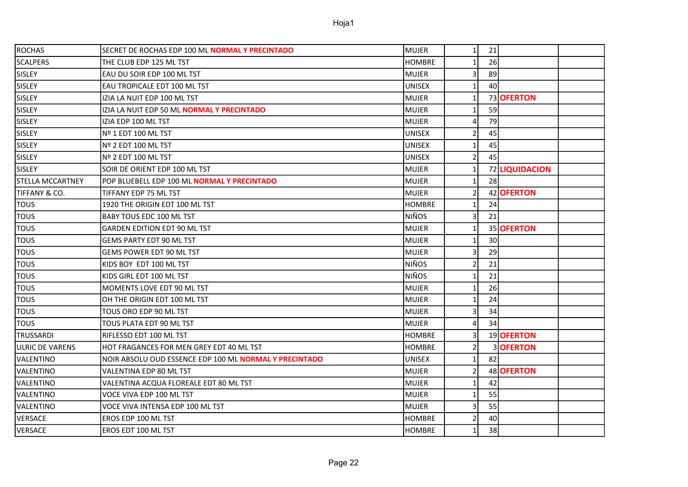| <b>ROCHAS</b>           | SECRET DE ROCHAS EDP 100 ML NORMAL Y PRECINTADO               | MUJER         | 1 <sup>1</sup> | 21              |                  |  |
|-------------------------|---------------------------------------------------------------|---------------|----------------|-----------------|------------------|--|
| <b>SCALPERS</b>         | THE CLUB EDP 125 ML TST                                       | <b>HOMBRE</b> |                | 26              |                  |  |
| SISLEY                  | EAU DU SOIR EDP 100 ML TST                                    | <b>MUJER</b>  | 3              | 89              |                  |  |
| SISLEY                  | EAU TROPICALE EDT 100 ML TST                                  | <b>UNISEX</b> | 1              | 40              |                  |  |
| SISLEY                  | IZIA LA NUIT EDP 100 ML TST                                   | <b>MUJER</b>  |                |                 | 73 OFERTON       |  |
| <b>SISLEY</b>           | IZIA LA NUIT EDP 50 ML <b>NORMAL Y PRECINTADO</b>             | <b>MUJER</b>  | 1              | 59              |                  |  |
| SISLEY                  | IZIA EDP 100 ML TST                                           | <b>MUJER</b>  | 4              | 79              |                  |  |
| SISLEY                  | Nº 1 EDT 100 ML TST                                           | <b>UNISEX</b> | $\overline{2}$ | 45              |                  |  |
| <b>SISLEY</b>           | Nº 2 EDT 100 ML TST                                           | <b>UNISEX</b> | 1              | 45              |                  |  |
| SISLEY                  | Nº 2 EDT 100 ML TST                                           | <b>UNISEX</b> | $\overline{2}$ | 45              |                  |  |
| SISLEY                  | SOIR DE ORIENT EDP 100 ML TST                                 | <b>MUJER</b>  | $\mathbf{1}$   |                 | 72 LIQUIDACION   |  |
| <b>STELLA MCCARTNEY</b> | POP BLUEBELL EDP 100 ML NORMAL Y PRECINTADO                   | MUJER         | 1              | 28              |                  |  |
| TIFFANY & CO.           | TIFFANY EDP 75 ML TST                                         | <b>MUJER</b>  | $\overline{2}$ |                 | 42 OFERTON       |  |
| <b>TOUS</b>             | 1920 THE ORIGIN EDT 100 ML TST                                | <b>HOMBRE</b> | 1              | 24              |                  |  |
| <b>TOUS</b>             | <b>BABY TOUS EDC 100 ML TST</b>                               | <b>NIÑOS</b>  | 3              | 21              |                  |  |
| <b>TOUS</b>             | GARDEN EDITION EDT 90 ML TST                                  | <b>MUJER</b>  | 1              |                 | 35 OFERTON       |  |
| <b>TOUS</b>             | GEMS PARTY EDT 90 ML TST                                      | <b>MUJER</b>  | 1              | 30 <sup>°</sup> |                  |  |
| <b>TOUS</b>             | GEMS POWER EDT 90 ML TST                                      | <b>MUJER</b>  |                | 29              |                  |  |
| <b>TOUS</b>             | KIDS BOY EDT 100 ML TST                                       | <b>NIÑOS</b>  | 2              | 21              |                  |  |
| <b>TOUS</b>             | KIDS GIRL EDT 100 ML TST                                      | <b>NIÑOS</b>  | 1              | 21              |                  |  |
| <b>TOUS</b>             | MOMENTS LOVE EDT 90 ML TST                                    | <b>MUJER</b>  | 1              | 26              |                  |  |
| <b>TOUS</b>             | OH THE ORIGIN EDT 100 ML TST                                  | <b>MUJER</b>  | 1              | 24              |                  |  |
| <b>TOUS</b>             | TOUS ORO EDP 90 ML TST                                        | <b>MUJER</b>  | 3              | 34              |                  |  |
| <b>TOUS</b>             | TOUS PLATA EDT 90 ML TST                                      | <b>MUJER</b>  | 4              | 34              |                  |  |
| <b>TRUSSARDI</b>        | RIFLESSO EDT 100 ML TST                                       | <b>HOMBRE</b> | 3              |                 | 19 OFERTON       |  |
| <b>ULRIC DE VARENS</b>  | HOT FRAGANCES FOR MEN GREY EDT 40 ML TST                      | <b>HOMBRE</b> | $\overline{2}$ |                 | 3 <b>OFERTON</b> |  |
| VALENTINO               | NOIR ABSOLU OUD ESSENCE EDP 100 ML <b>NORMAL Y PRECINTADO</b> | <b>UNISEX</b> | 1              | 82              |                  |  |
| VALENTINO               | VALENTINA EDP 80 ML TST                                       | <b>MUJER</b>  | 2              |                 | 48 OFERTON       |  |
| VALENTINO               | VALENTINA ACQUA FLOREALE EDT 80 ML TST                        | <b>MUJER</b>  | $\mathbf{1}$   | 42              |                  |  |
| VALENTINO               | VOCE VIVA EDP 100 ML TST                                      | <b>MUJER</b>  | 1              | 55              |                  |  |
| VALENTINO               | VOCE VIVA INTENSA EDP 100 ML TST                              | <b>MUJER</b>  | 3              | 55              |                  |  |
| VERSACE                 | EROS EDP 100 ML TST                                           | <b>HOMBRE</b> | $\overline{2}$ | 40              |                  |  |
| VERSACE                 | EROS EDT 100 ML TST                                           | <b>HOMBRE</b> | $\mathbf{1}$   | 38              |                  |  |